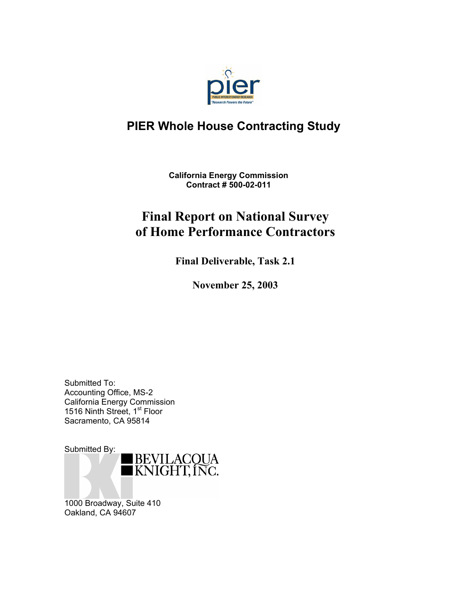

#### **PIER Whole House Contracting Study**

**California Energy Commission Contract # 500-02-011** 

### **Final Report on National Survey of Home Performance Contractors**

**Final Deliverable, Task 2.1** 

**November 25, 2003**

Submitted To: Accounting Office, MS-2 California Energy Commission 1516 Ninth Street, 1<sup>st</sup> Floor Sacramento, CA 95814



1000 Broadway, Suite 410 Oakland, CA 94607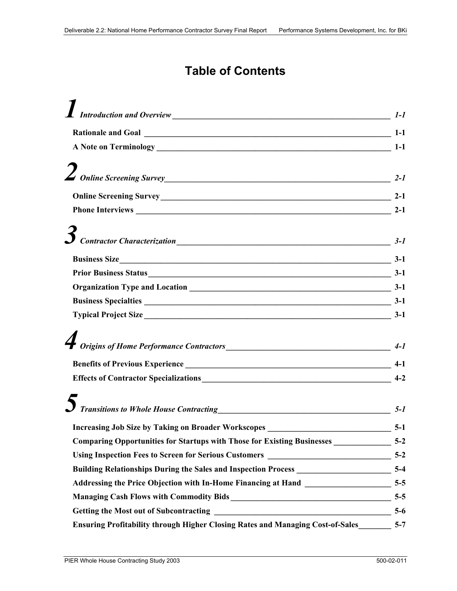#### **Table of Contents**

|                                                                                                 | $1 - I$ |
|-------------------------------------------------------------------------------------------------|---------|
|                                                                                                 |         |
|                                                                                                 |         |
|                                                                                                 |         |
| $\sum$ Online Screening Survey                                                                  | $2 - 1$ |
|                                                                                                 | $2 - 1$ |
|                                                                                                 |         |
|                                                                                                 |         |
|                                                                                                 |         |
| Business Size 3-1                                                                               |         |
|                                                                                                 |         |
|                                                                                                 |         |
|                                                                                                 |         |
|                                                                                                 |         |
|                                                                                                 |         |
|                                                                                                 |         |
|                                                                                                 | $4-1$   |
|                                                                                                 | $4-2$   |
|                                                                                                 |         |
| $\sum$ Transitions to Whole House Contracting                                                   | $5 - 1$ |
| <b>Increasing Job Size by Taking on Broader Workscopes</b>                                      | $5-1$   |
| Comparing Opportunities for Startups with Those for Existing Businesses ____________________5-2 |         |
| Using Inspection Fees to Screen for Serious Customers __________________________                | $5-2$   |
| Building Relationships During the Sales and Inspection Process __________________________5-4    |         |
|                                                                                                 |         |
| Managing Cash Flows with Commodity Bids<br><u>15-5</u> 5-5                                      |         |
|                                                                                                 |         |
| Ensuring Profitability through Higher Closing Rates and Managing Cost-of-Sales                  | $5 - 7$ |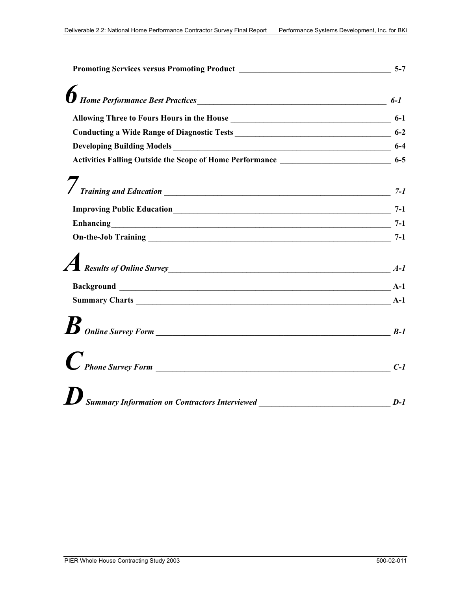| Activities Falling Outside the Scope of Home Performance ________________________ 6-5 |         |
|---------------------------------------------------------------------------------------|---------|
|                                                                                       | $7 - 1$ |
|                                                                                       |         |
|                                                                                       |         |
| Enhancing 7-1                                                                         |         |
| <i>A</i> Results of Online Survey <u>A</u> A-1                                        |         |
|                                                                                       |         |
|                                                                                       |         |
|                                                                                       |         |
| $P$ Phone Survey Form $\qquad \qquad$                                                 | $C-1$   |
| $\boldsymbol{U}$ Summary Information on Contractors Interviewed                       | $D-1$   |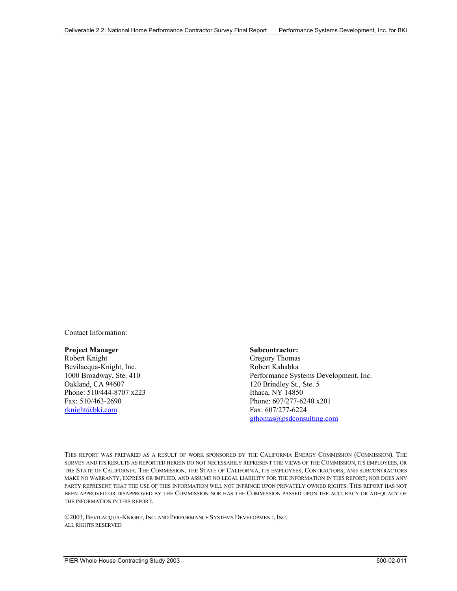Contact Information:

#### **Project Manager Subcontractor:**

Robert Knight Bevilacqua-Knight, Inc. 1000 Broadway, Ste. 410 Oakland, CA 94607 Phone: 510/444-8707 x223 Fax: 510/463-2690 rknight@bki.com

 Gregory Thomas Robert Kahabka Performance Systems Development, Inc. 120 Brindley St., Ste. 5 Ithaca, NY 14850 Phone: 607/277-6240 x201 Fax: 607/277-6224 gthomas@psdconsulting.com

THIS REPORT WAS PREPARED AS A RESULT OF WORK SPONSORED BY THE CALIFORNIA ENERGY COMMISSION (COMMISSION). THE SURVEY AND ITS RESULTS AS REPORTED HEREIN DO NOT NECESSARILY REPRESENT THE VIEWS OF THE COMMISSION, ITS EMPLOYEES, OR THE STATE OF CALIFORNIA. THE COMMISSION, THE STATE OF CALIFORNIA, ITS EMPLOYEES, CONTRACTORS, AND SUBCONTRACTORS MAKE NO WARRANTY, EXPRESS OR IMPLIED, AND ASSUME NO LEGAL LIABILITY FOR THE INFORMATION IN THIS REPORT; NOR DOES ANY PARTY REPRESENT THAT THE USE OF THIS INFORMATION WILL NOT INFRINGE UPON PRIVATELY OWNED RIGHTS. THIS REPORT HAS NOT BEEN APPROVED OR DISAPPROVED BY THE COMMISSION NOR HAS THE COMMISSION PASSED UPON THE ACCURACY OR ADEQUACY OF THE INFORMATION IN THIS REPORT.

2003, BEVILACQUA-KNIGHT, INC. AND PERFORMANCE SYSTEMS DEVELOPMENT, INC. ALL RIGHTS RESERVED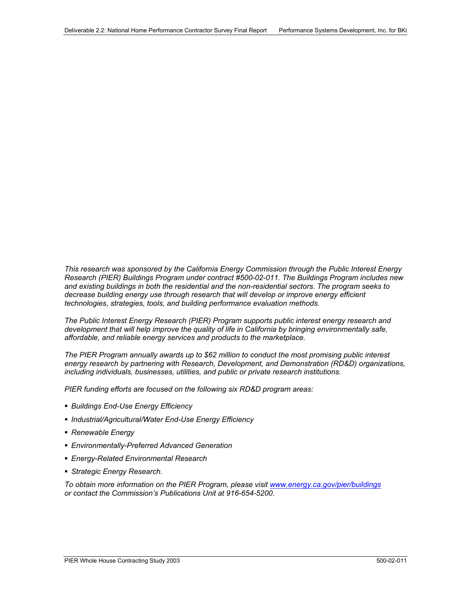*This research was sponsored by the California Energy Commission through the Public Interest Energy Research (PIER) Buildings Program under contract #500-02-011. The Buildings Program includes new and existing buildings in both the residential and the non-residential sectors. The program seeks to decrease building energy use through research that will develop or improve energy efficient technologies, strategies, tools, and building performance evaluation methods.* 

*The Public Interest Energy Research (PIER) Program supports public interest energy research and development that will help improve the quality of life in California by bringing environmentally safe, affordable, and reliable energy services and products to the marketplace.* 

*The PIER Program annually awards up to \$62 million to conduct the most promising public interest energy research by partnering with Research, Development, and Demonstration (RD&D) organizations, including individuals, businesses, utilities, and public or private research institutions.* 

*PIER funding efforts are focused on the following six RD&D program areas:* 

- *Buildings End-Use Energy Efficiency*
- *Industrial/Agricultural/Water End-Use Energy Efficiency*
- *Renewable Energy*
- *Environmentally-Preferred Advanced Generation*
- *Energy-Related Environmental Research*
- *Strategic Energy Research.*

*To obtain more information on the PIER Program, please visit www.energy.ca.gov/pier/buildings or contact the Commission's Publications Unit at 916-654-5200.*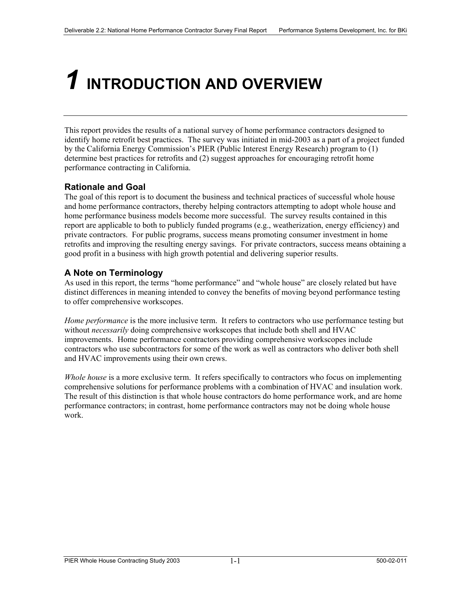### *1* **INTRODUCTION AND OVERVIEW**

This report provides the results of a national survey of home performance contractors designed to identify home retrofit best practices. The survey was initiated in mid-2003 as a part of a project funded by the California Energy Commission's PIER (Public Interest Energy Research) program to (1) determine best practices for retrofits and (2) suggest approaches for encouraging retrofit home performance contracting in California.

#### **Rationale and Goal**

The goal of this report is to document the business and technical practices of successful whole house and home performance contractors, thereby helping contractors attempting to adopt whole house and home performance business models become more successful. The survey results contained in this report are applicable to both to publicly funded programs (e.g., weatherization, energy efficiency) and private contractors. For public programs, success means promoting consumer investment in home retrofits and improving the resulting energy savings. For private contractors, success means obtaining a good profit in a business with high growth potential and delivering superior results.

#### **A Note on Terminology**

As used in this report, the terms "home performance" and "whole house" are closely related but have distinct differences in meaning intended to convey the benefits of moving beyond performance testing to offer comprehensive workscopes.

*Home performance* is the more inclusive term. It refers to contractors who use performance testing but without *necessarily* doing comprehensive workscopes that include both shell and HVAC improvements. Home performance contractors providing comprehensive workscopes include contractors who use subcontractors for some of the work as well as contractors who deliver both shell and HVAC improvements using their own crews.

*Whole house* is a more exclusive term. It refers specifically to contractors who focus on implementing comprehensive solutions for performance problems with a combination of HVAC and insulation work. The result of this distinction is that whole house contractors do home performance work, and are home performance contractors; in contrast, home performance contractors may not be doing whole house work.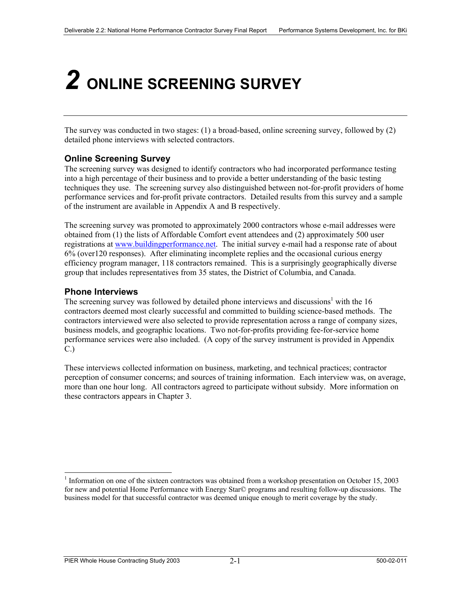## *2* **ONLINE SCREENING SURVEY**

The survey was conducted in two stages: (1) a broad-based, online screening survey, followed by (2) detailed phone interviews with selected contractors.

#### **Online Screening Survey**

The screening survey was designed to identify contractors who had incorporated performance testing into a high percentage of their business and to provide a better understanding of the basic testing techniques they use. The screening survey also distinguished between not-for-profit providers of home performance services and for-profit private contractors. Detailed results from this survey and a sample of the instrument are available in Appendix A and B respectively.

The screening survey was promoted to approximately 2000 contractors whose e-mail addresses were obtained from (1) the lists of Affordable Comfort event attendees and (2) approximately 500 user registrations at www.buildingperformance.net. The initial survey e-mail had a response rate of about 6% (over120 responses). After eliminating incomplete replies and the occasional curious energy efficiency program manager, 118 contractors remained. This is a surprisingly geographically diverse group that includes representatives from 35 states, the District of Columbia, and Canada.

#### **Phone Interviews**

 $\overline{a}$ 

The screening survey was followed by detailed phone interviews and discussions<sup>1</sup> with the 16 contractors deemed most clearly successful and committed to building science-based methods. The contractors interviewed were also selected to provide representation across a range of company sizes, business models, and geographic locations. Two not-for-profits providing fee-for-service home performance services were also included. (A copy of the survey instrument is provided in Appendix C.)

These interviews collected information on business, marketing, and technical practices; contractor perception of consumer concerns; and sources of training information. Each interview was, on average, more than one hour long. All contractors agreed to participate without subsidy. More information on these contractors appears in Chapter 3.

<sup>&</sup>lt;sup>1</sup> Information on one of the sixteen contractors was obtained from a workshop presentation on October 15, 2003 for new and potential Home Performance with Energy Star© programs and resulting follow-up discussions. The business model for that successful contractor was deemed unique enough to merit coverage by the study.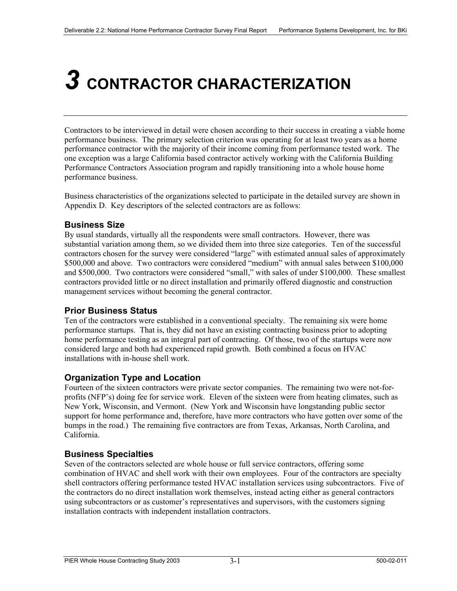### *3* **CONTRACTOR CHARACTERIZATION**

Contractors to be interviewed in detail were chosen according to their success in creating a viable home performance business. The primary selection criterion was operating for at least two years as a home performance contractor with the majority of their income coming from performance tested work. The one exception was a large California based contractor actively working with the California Building Performance Contractors Association program and rapidly transitioning into a whole house home performance business.

Business characteristics of the organizations selected to participate in the detailed survey are shown in Appendix D. Key descriptors of the selected contractors are as follows:

#### **Business Size**

By usual standards, virtually all the respondents were small contractors. However, there was substantial variation among them, so we divided them into three size categories. Ten of the successful contractors chosen for the survey were considered "large" with estimated annual sales of approximately \$500,000 and above. Two contractors were considered "medium" with annual sales between \$100,000 and \$500,000. Two contractors were considered "small," with sales of under \$100,000. These smallest contractors provided little or no direct installation and primarily offered diagnostic and construction management services without becoming the general contractor.

#### **Prior Business Status**

Ten of the contractors were established in a conventional specialty. The remaining six were home performance startups. That is, they did not have an existing contracting business prior to adopting home performance testing as an integral part of contracting. Of those, two of the startups were now considered large and both had experienced rapid growth. Both combined a focus on HVAC installations with in-house shell work.

#### **Organization Type and Location**

Fourteen of the sixteen contractors were private sector companies. The remaining two were not-forprofits (NFP's) doing fee for service work. Eleven of the sixteen were from heating climates, such as New York, Wisconsin, and Vermont. (New York and Wisconsin have longstanding public sector support for home performance and, therefore, have more contractors who have gotten over some of the bumps in the road.) The remaining five contractors are from Texas, Arkansas, North Carolina, and California.

#### **Business Specialties**

Seven of the contractors selected are whole house or full service contractors, offering some combination of HVAC and shell work with their own employees. Four of the contractors are specialty shell contractors offering performance tested HVAC installation services using subcontractors. Five of the contractors do no direct installation work themselves, instead acting either as general contractors using subcontractors or as customer's representatives and supervisors, with the customers signing installation contracts with independent installation contractors.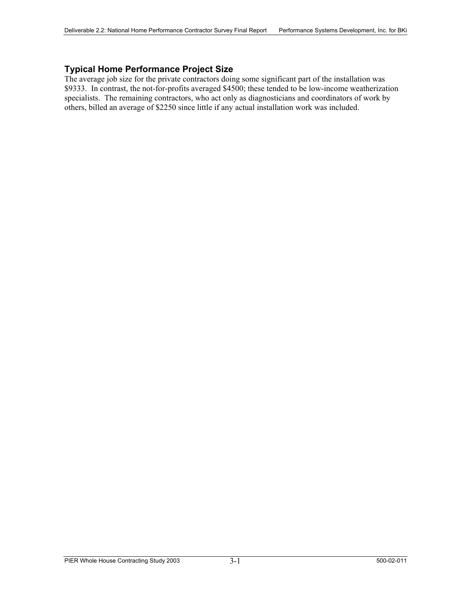#### **Typical Home Performance Project Size**

The average job size for the private contractors doing some significant part of the installation was \$9333. In contrast, the not-for-profits averaged \$4500; these tended to be low-income weatherization specialists. The remaining contractors, who act only as diagnosticians and coordinators of work by others, billed an average of \$2250 since little if any actual installation work was included.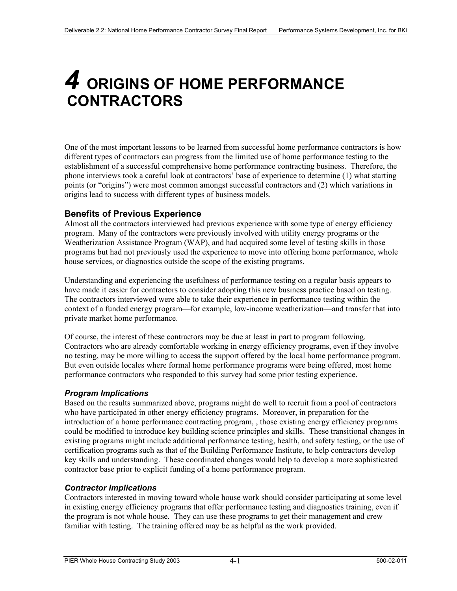### *4* **ORIGINS OF HOME PERFORMANCE CONTRACTORS**

One of the most important lessons to be learned from successful home performance contractors is how different types of contractors can progress from the limited use of home performance testing to the establishment of a successful comprehensive home performance contracting business. Therefore, the phone interviews took a careful look at contractors' base of experience to determine (1) what starting points (or "origins") were most common amongst successful contractors and (2) which variations in origins lead to success with different types of business models.

#### **Benefits of Previous Experience**

Almost all the contractors interviewed had previous experience with some type of energy efficiency program. Many of the contractors were previously involved with utility energy programs or the Weatherization Assistance Program (WAP), and had acquired some level of testing skills in those programs but had not previously used the experience to move into offering home performance, whole house services, or diagnostics outside the scope of the existing programs.

Understanding and experiencing the usefulness of performance testing on a regular basis appears to have made it easier for contractors to consider adopting this new business practice based on testing. The contractors interviewed were able to take their experience in performance testing within the context of a funded energy program—for example, low-income weatherization—and transfer that into private market home performance.

Of course, the interest of these contractors may be due at least in part to program following. Contractors who are already comfortable working in energy efficiency programs, even if they involve no testing, may be more willing to access the support offered by the local home performance program. But even outside locales where formal home performance programs were being offered, most home performance contractors who responded to this survey had some prior testing experience.

#### *Program Implications*

Based on the results summarized above, programs might do well to recruit from a pool of contractors who have participated in other energy efficiency programs. Moreover, in preparation for the introduction of a home performance contracting program, , those existing energy efficiency programs could be modified to introduce key building science principles and skills. These transitional changes in existing programs might include additional performance testing, health, and safety testing, or the use of certification programs such as that of the Building Performance Institute, to help contractors develop key skills and understanding. These coordinated changes would help to develop a more sophisticated contractor base prior to explicit funding of a home performance program.

#### *Contractor Implications*

Contractors interested in moving toward whole house work should consider participating at some level in existing energy efficiency programs that offer performance testing and diagnostics training, even if the program is not whole house. They can use these programs to get their management and crew familiar with testing. The training offered may be as helpful as the work provided.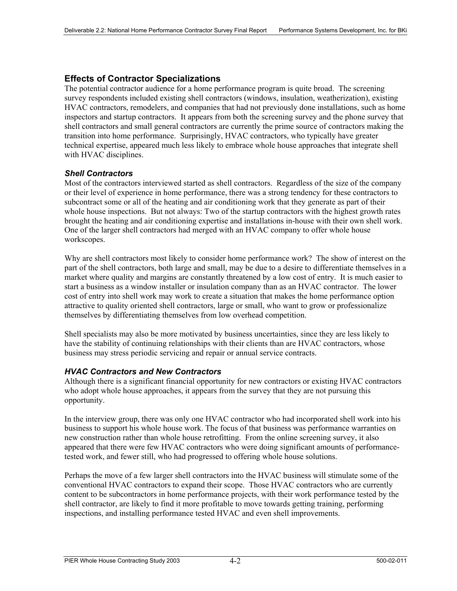#### **Effects of Contractor Specializations**

The potential contractor audience for a home performance program is quite broad. The screening survey respondents included existing shell contractors (windows, insulation, weatherization), existing HVAC contractors, remodelers, and companies that had not previously done installations, such as home inspectors and startup contractors. It appears from both the screening survey and the phone survey that shell contractors and small general contractors are currently the prime source of contractors making the transition into home performance. Surprisingly, HVAC contractors, who typically have greater technical expertise, appeared much less likely to embrace whole house approaches that integrate shell with HVAC disciplines.

#### *Shell Contractors*

Most of the contractors interviewed started as shell contractors. Regardless of the size of the company or their level of experience in home performance, there was a strong tendency for these contractors to subcontract some or all of the heating and air conditioning work that they generate as part of their whole house inspections. But not always: Two of the startup contractors with the highest growth rates brought the heating and air conditioning expertise and installations in-house with their own shell work. One of the larger shell contractors had merged with an HVAC company to offer whole house workscopes.

Why are shell contractors most likely to consider home performance work? The show of interest on the part of the shell contractors, both large and small, may be due to a desire to differentiate themselves in a market where quality and margins are constantly threatened by a low cost of entry. It is much easier to start a business as a window installer or insulation company than as an HVAC contractor. The lower cost of entry into shell work may work to create a situation that makes the home performance option attractive to quality oriented shell contractors, large or small, who want to grow or professionalize themselves by differentiating themselves from low overhead competition.

Shell specialists may also be more motivated by business uncertainties, since they are less likely to have the stability of continuing relationships with their clients than are HVAC contractors, whose business may stress periodic servicing and repair or annual service contracts.

#### *HVAC Contractors and New Contractors*

Although there is a significant financial opportunity for new contractors or existing HVAC contractors who adopt whole house approaches, it appears from the survey that they are not pursuing this opportunity.

In the interview group, there was only one HVAC contractor who had incorporated shell work into his business to support his whole house work. The focus of that business was performance warranties on new construction rather than whole house retrofitting. From the online screening survey, it also appeared that there were few HVAC contractors who were doing significant amounts of performancetested work, and fewer still, who had progressed to offering whole house solutions.

Perhaps the move of a few larger shell contractors into the HVAC business will stimulate some of the conventional HVAC contractors to expand their scope. Those HVAC contractors who are currently content to be subcontractors in home performance projects, with their work performance tested by the shell contractor, are likely to find it more profitable to move towards getting training, performing inspections, and installing performance tested HVAC and even shell improvements.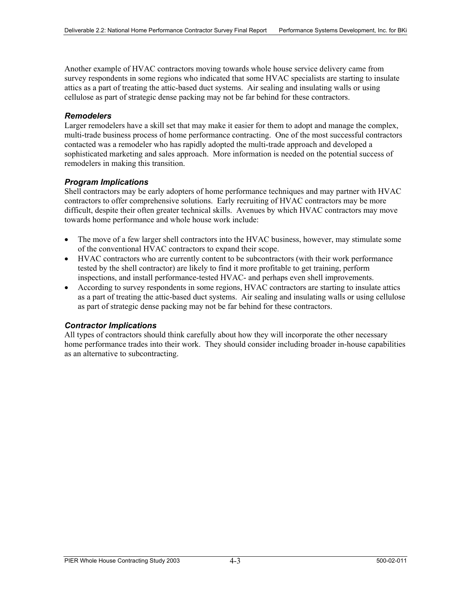Another example of HVAC contractors moving towards whole house service delivery came from survey respondents in some regions who indicated that some HVAC specialists are starting to insulate attics as a part of treating the attic-based duct systems. Air sealing and insulating walls or using cellulose as part of strategic dense packing may not be far behind for these contractors.

#### *Remodelers*

Larger remodelers have a skill set that may make it easier for them to adopt and manage the complex, multi-trade business process of home performance contracting. One of the most successful contractors contacted was a remodeler who has rapidly adopted the multi-trade approach and developed a sophisticated marketing and sales approach. More information is needed on the potential success of remodelers in making this transition.

#### *Program Implications*

Shell contractors may be early adopters of home performance techniques and may partner with HVAC contractors to offer comprehensive solutions. Early recruiting of HVAC contractors may be more difficult, despite their often greater technical skills. Avenues by which HVAC contractors may move towards home performance and whole house work include:

- The move of a few larger shell contractors into the HVAC business, however, may stimulate some of the conventional HVAC contractors to expand their scope.
- HVAC contractors who are currently content to be subcontractors (with their work performance tested by the shell contractor) are likely to find it more profitable to get training, perform inspections, and install performance-tested HVAC- and perhaps even shell improvements.
- According to survey respondents in some regions, HVAC contractors are starting to insulate attics as a part of treating the attic-based duct systems. Air sealing and insulating walls or using cellulose as part of strategic dense packing may not be far behind for these contractors.

#### *Contractor Implications*

All types of contractors should think carefully about how they will incorporate the other necessary home performance trades into their work. They should consider including broader in-house capabilities as an alternative to subcontracting.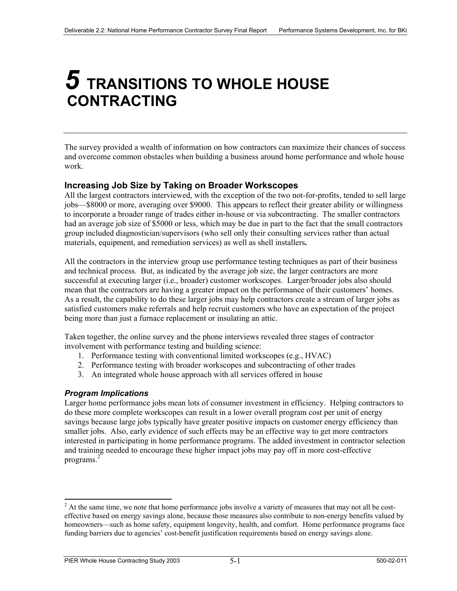### *5* **TRANSITIONS TO WHOLE HOUSE CONTRACTING**

The survey provided a wealth of information on how contractors can maximize their chances of success and overcome common obstacles when building a business around home performance and whole house work.

#### **Increasing Job Size by Taking on Broader Workscopes**

All the largest contractors interviewed, with the exception of the two not-for-profits, tended to sell large jobs—\$8000 or more, averaging over \$9000. This appears to reflect their greater ability or willingness to incorporate a broader range of trades either in-house or via subcontracting. The smaller contractors had an average job size of \$5000 or less, which may be due in part to the fact that the small contractors group included diagnostician/supervisors (who sell only their consulting services rather than actual materials, equipment, and remediation services) as well as shell installers**.**

All the contractors in the interview group use performance testing techniques as part of their business and technical process. But, as indicated by the average job size, the larger contractors are more successful at executing larger (i.e., broader) customer workscopes. Larger/broader jobs also should mean that the contractors are having a greater impact on the performance of their customers' homes. As a result, the capability to do these larger jobs may help contractors create a stream of larger jobs as satisfied customers make referrals and help recruit customers who have an expectation of the project being more than just a furnace replacement or insulating an attic.

Taken together, the online survey and the phone interviews revealed three stages of contractor involvement with performance testing and building science:

- 1. Performance testing with conventional limited workscopes (e.g., HVAC)
- 2. Performance testing with broader workscopes and subcontracting of other trades
- 3. An integrated whole house approach with all services offered in house

#### *Program Implications*

l

Larger home performance jobs mean lots of consumer investment in efficiency. Helping contractors to do these more complete workscopes can result in a lower overall program cost per unit of energy savings because large jobs typically have greater positive impacts on customer energy efficiency than smaller jobs. Also, early evidence of such effects may be an effective way to get more contractors interested in participating in home performance programs. The added investment in contractor selection and training needed to encourage these higher impact jobs may pay off in more cost-effective programs.<sup>2</sup>

 $2<sup>2</sup>$  At the same time, we note that home performance jobs involve a variety of measures that may not all be costeffective based on energy savings alone, because those measures also contribute to non-energy benefits valued by homeowners—such as home safety, equipment longevity, health, and comfort. Home performance programs face funding barriers due to agencies' cost-benefit justification requirements based on energy savings alone.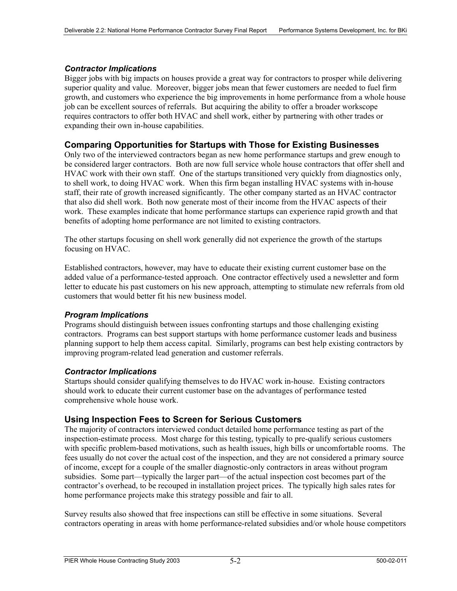#### *Contractor Implications*

Bigger jobs with big impacts on houses provide a great way for contractors to prosper while delivering superior quality and value. Moreover, bigger jobs mean that fewer customers are needed to fuel firm growth, and customers who experience the big improvements in home performance from a whole house job can be excellent sources of referrals. But acquiring the ability to offer a broader workscope requires contractors to offer both HVAC and shell work, either by partnering with other trades or expanding their own in-house capabilities.

#### **Comparing Opportunities for Startups with Those for Existing Businesses**

Only two of the interviewed contractors began as new home performance startups and grew enough to be considered larger contractors. Both are now full service whole house contractors that offer shell and HVAC work with their own staff. One of the startups transitioned very quickly from diagnostics only, to shell work, to doing HVAC work. When this firm began installing HVAC systems with in-house staff, their rate of growth increased significantly. The other company started as an HVAC contractor that also did shell work. Both now generate most of their income from the HVAC aspects of their work. These examples indicate that home performance startups can experience rapid growth and that benefits of adopting home performance are not limited to existing contractors.

The other startups focusing on shell work generally did not experience the growth of the startups focusing on HVAC.

Established contractors, however, may have to educate their existing current customer base on the added value of a performance-tested approach. One contractor effectively used a newsletter and form letter to educate his past customers on his new approach, attempting to stimulate new referrals from old customers that would better fit his new business model.

#### *Program Implications*

Programs should distinguish between issues confronting startups and those challenging existing contractors. Programs can best support startups with home performance customer leads and business planning support to help them access capital. Similarly, programs can best help existing contractors by improving program-related lead generation and customer referrals.

#### *Contractor Implications*

Startups should consider qualifying themselves to do HVAC work in-house. Existing contractors should work to educate their current customer base on the advantages of performance tested comprehensive whole house work.

#### **Using Inspection Fees to Screen for Serious Customers**

The majority of contractors interviewed conduct detailed home performance testing as part of the inspection-estimate process. Most charge for this testing, typically to pre-qualify serious customers with specific problem-based motivations, such as health issues, high bills or uncomfortable rooms. The fees usually do not cover the actual cost of the inspection, and they are not considered a primary source of income, except for a couple of the smaller diagnostic-only contractors in areas without program subsidies. Some part—typically the larger part—of the actual inspection cost becomes part of the contractor's overhead, to be recouped in installation project prices. The typically high sales rates for home performance projects make this strategy possible and fair to all.

Survey results also showed that free inspections can still be effective in some situations. Several contractors operating in areas with home performance-related subsidies and/or whole house competitors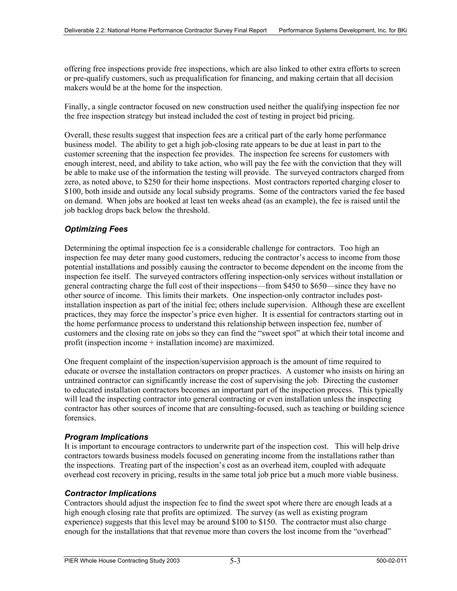offering free inspections provide free inspections, which are also linked to other extra efforts to screen or pre-qualify customers, such as prequalification for financing, and making certain that all decision makers would be at the home for the inspection.

Finally, a single contractor focused on new construction used neither the qualifying inspection fee nor the free inspection strategy but instead included the cost of testing in project bid pricing.

Overall, these results suggest that inspection fees are a critical part of the early home performance business model. The ability to get a high job-closing rate appears to be due at least in part to the customer screening that the inspection fee provides. The inspection fee screens for customers with enough interest, need, and ability to take action, who will pay the fee with the conviction that they will be able to make use of the information the testing will provide. The surveyed contractors charged from zero, as noted above, to \$250 for their home inspections. Most contractors reported charging closer to \$100, both inside and outside any local subsidy programs. Some of the contractors varied the fee based on demand. When jobs are booked at least ten weeks ahead (as an example), the fee is raised until the job backlog drops back below the threshold.

#### *Optimizing Fees*

Determining the optimal inspection fee is a considerable challenge for contractors. Too high an inspection fee may deter many good customers, reducing the contractor's access to income from those potential installations and possibly causing the contractor to become dependent on the income from the inspection fee itself. The surveyed contractors offering inspection-only services without installation or general contracting charge the full cost of their inspections—from \$450 to \$650—since they have no other source of income. This limits their markets. One inspection-only contractor includes postinstallation inspection as part of the initial fee; others include supervision. Although these are excellent practices, they may force the inspector's price even higher. It is essential for contractors starting out in the home performance process to understand this relationship between inspection fee, number of customers and the closing rate on jobs so they can find the "sweet spot" at which their total income and profit (inspection income + installation income) are maximized.

One frequent complaint of the inspection/supervision approach is the amount of time required to educate or oversee the installation contractors on proper practices. A customer who insists on hiring an untrained contractor can significantly increase the cost of supervising the job. Directing the customer to educated installation contractors becomes an important part of the inspection process. This typically will lead the inspecting contractor into general contracting or even installation unless the inspecting contractor has other sources of income that are consulting-focused, such as teaching or building science forensics.

#### *Program Implications*

It is important to encourage contractors to underwrite part of the inspection cost. This will help drive contractors towards business models focused on generating income from the installations rather than the inspections. Treating part of the inspection's cost as an overhead item, coupled with adequate overhead cost recovery in pricing, results in the same total job price but a much more viable business.

#### *Contractor Implications*

Contractors should adjust the inspection fee to find the sweet spot where there are enough leads at a high enough closing rate that profits are optimized. The survey (as well as existing program experience) suggests that this level may be around \$100 to \$150. The contractor must also charge enough for the installations that that revenue more than covers the lost income from the "overhead"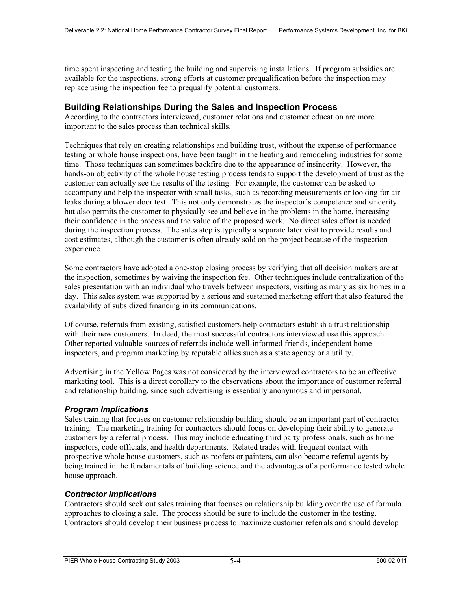time spent inspecting and testing the building and supervising installations. If program subsidies are available for the inspections, strong efforts at customer prequalification before the inspection may replace using the inspection fee to prequalify potential customers.

#### **Building Relationships During the Sales and Inspection Process**

According to the contractors interviewed, customer relations and customer education are more important to the sales process than technical skills.

Techniques that rely on creating relationships and building trust, without the expense of performance testing or whole house inspections, have been taught in the heating and remodeling industries for some time. Those techniques can sometimes backfire due to the appearance of insincerity. However, the hands-on objectivity of the whole house testing process tends to support the development of trust as the customer can actually see the results of the testing. For example, the customer can be asked to accompany and help the inspector with small tasks, such as recording measurements or looking for air leaks during a blower door test. This not only demonstrates the inspector's competence and sincerity but also permits the customer to physically see and believe in the problems in the home, increasing their confidence in the process and the value of the proposed work. No direct sales effort is needed during the inspection process. The sales step is typically a separate later visit to provide results and cost estimates, although the customer is often already sold on the project because of the inspection experience.

Some contractors have adopted a one-stop closing process by verifying that all decision makers are at the inspection, sometimes by waiving the inspection fee. Other techniques include centralization of the sales presentation with an individual who travels between inspectors, visiting as many as six homes in a day. This sales system was supported by a serious and sustained marketing effort that also featured the availability of subsidized financing in its communications.

Of course, referrals from existing, satisfied customers help contractors establish a trust relationship with their new customers. In deed, the most successful contractors interviewed use this approach. Other reported valuable sources of referrals include well-informed friends, independent home inspectors, and program marketing by reputable allies such as a state agency or a utility.

Advertising in the Yellow Pages was not considered by the interviewed contractors to be an effective marketing tool. This is a direct corollary to the observations about the importance of customer referral and relationship building, since such advertising is essentially anonymous and impersonal.

#### *Program Implications*

Sales training that focuses on customer relationship building should be an important part of contractor training. The marketing training for contractors should focus on developing their ability to generate customers by a referral process. This may include educating third party professionals, such as home inspectors, code officials, and health departments. Related trades with frequent contact with prospective whole house customers, such as roofers or painters, can also become referral agents by being trained in the fundamentals of building science and the advantages of a performance tested whole house approach.

#### *Contractor Implications*

Contractors should seek out sales training that focuses on relationship building over the use of formula approaches to closing a sale. The process should be sure to include the customer in the testing. Contractors should develop their business process to maximize customer referrals and should develop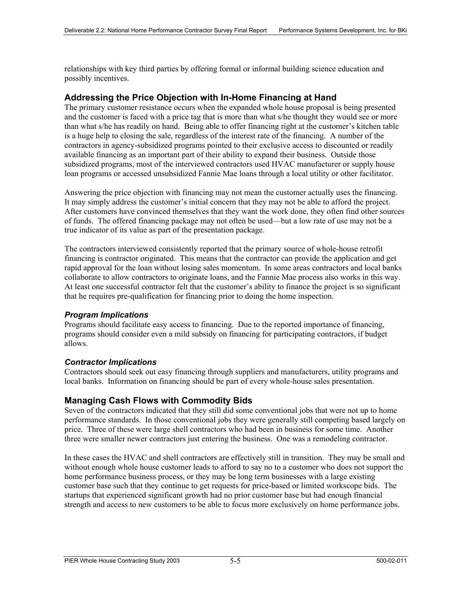relationships with key third parties by offering formal or informal building science education and possibly incentives.

#### **Addressing the Price Objection with In-Home Financing at Hand**

The primary customer resistance occurs when the expanded whole house proposal is being presented and the customer is faced with a price tag that is more than what s/he thought they would see or more than what s/he has readily on hand. Being able to offer financing right at the customer's kitchen table is a huge help to closing the sale, regardless of the interest rate of the financing. A number of the contractors in agency-subsidized programs pointed to their exclusive access to discounted or readily available financing as an important part of their ability to expand their business. Outside those subsidized programs, most of the interviewed contractors used HVAC manufacturer or supply house loan programs or accessed unsubsidized Fannie Mae loans through a local utility or other facilitator.

Answering the price objection with financing may not mean the customer actually uses the financing. It may simply address the customer's initial concern that they may not be able to afford the project. After customers have convinced themselves that they want the work done, they often find other sources of funds. The offered financing package may not often be used—but a low rate of use may not be a true indicator of its value as part of the presentation package.

The contractors interviewed consistently reported that the primary source of whole-house retrofit financing is contractor originated. This means that the contractor can provide the application and get rapid approval for the loan without losing sales momentum. In some areas contractors and local banks collaborate to allow contractors to originate loans, and the Fannie Mae process also works in this way. At least one successful contractor felt that the customer's ability to finance the project is so significant that he requires pre-qualification for financing prior to doing the home inspection.

#### *Program Implications*

Programs should facilitate easy access to financing. Due to the reported importance of financing, programs should consider even a mild subsidy on financing for participating contractors, if budget allows.

#### *Contractor Implications*

Contractors should seek out easy financing through suppliers and manufacturers, utility programs and local banks. Information on financing should be part of every whole-house sales presentation.

#### **Managing Cash Flows with Commodity Bids**

Seven of the contractors indicated that they still did some conventional jobs that were not up to home performance standards. In those conventional jobs they were generally still competing based largely on price. Three of these were large shell contractors who had been in business for some time. Another three were smaller newer contractors just entering the business. One was a remodeling contractor.

In these cases the HVAC and shell contractors are effectively still in transition. They may be small and without enough whole house customer leads to afford to say no to a customer who does not support the home performance business process, or they may be long term businesses with a large existing customer base such that they continue to get requests for price-based or limited workscope bids. The startups that experienced significant growth had no prior customer base but had enough financial strength and access to new customers to be able to focus more exclusively on home performance jobs.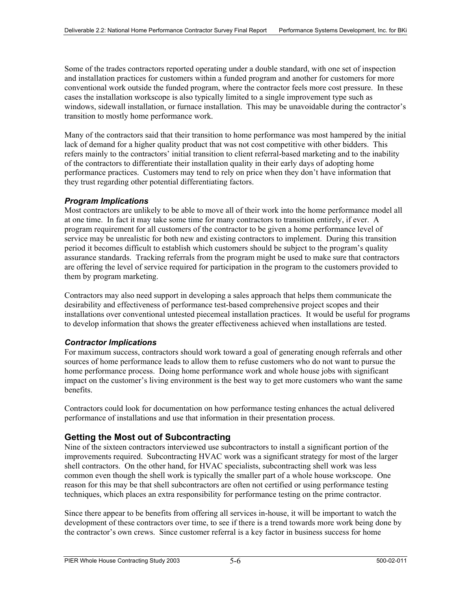Some of the trades contractors reported operating under a double standard, with one set of inspection and installation practices for customers within a funded program and another for customers for more conventional work outside the funded program, where the contractor feels more cost pressure. In these cases the installation workscope is also typically limited to a single improvement type such as windows, sidewall installation, or furnace installation. This may be unavoidable during the contractor's transition to mostly home performance work.

Many of the contractors said that their transition to home performance was most hampered by the initial lack of demand for a higher quality product that was not cost competitive with other bidders. This refers mainly to the contractors' initial transition to client referral-based marketing and to the inability of the contractors to differentiate their installation quality in their early days of adopting home performance practices. Customers may tend to rely on price when they don't have information that they trust regarding other potential differentiating factors.

#### *Program Implications*

Most contractors are unlikely to be able to move all of their work into the home performance model all at one time. In fact it may take some time for many contractors to transition entirely, if ever. A program requirement for all customers of the contractor to be given a home performance level of service may be unrealistic for both new and existing contractors to implement. During this transition period it becomes difficult to establish which customers should be subject to the program's quality assurance standards. Tracking referrals from the program might be used to make sure that contractors are offering the level of service required for participation in the program to the customers provided to them by program marketing.

Contractors may also need support in developing a sales approach that helps them communicate the desirability and effectiveness of performance test-based comprehensive project scopes and their installations over conventional untested piecemeal installation practices. It would be useful for programs to develop information that shows the greater effectiveness achieved when installations are tested.

#### *Contractor Implications*

For maximum success, contractors should work toward a goal of generating enough referrals and other sources of home performance leads to allow them to refuse customers who do not want to pursue the home performance process. Doing home performance work and whole house jobs with significant impact on the customer's living environment is the best way to get more customers who want the same benefits.

Contractors could look for documentation on how performance testing enhances the actual delivered performance of installations and use that information in their presentation process.

#### **Getting the Most out of Subcontracting**

Nine of the sixteen contractors interviewed use subcontractors to install a significant portion of the improvements required. Subcontracting HVAC work was a significant strategy for most of the larger shell contractors. On the other hand, for HVAC specialists, subcontracting shell work was less common even though the shell work is typically the smaller part of a whole house workscope. One reason for this may be that shell subcontractors are often not certified or using performance testing techniques, which places an extra responsibility for performance testing on the prime contractor.

Since there appear to be benefits from offering all services in-house, it will be important to watch the development of these contractors over time, to see if there is a trend towards more work being done by the contractor's own crews. Since customer referral is a key factor in business success for home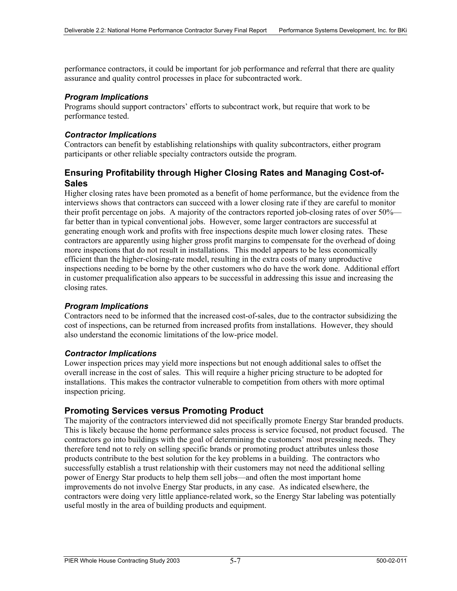performance contractors, it could be important for job performance and referral that there are quality assurance and quality control processes in place for subcontracted work.

#### *Program Implications*

Programs should support contractors' efforts to subcontract work, but require that work to be performance tested.

#### *Contractor Implications*

Contractors can benefit by establishing relationships with quality subcontractors, either program participants or other reliable specialty contractors outside the program.

#### **Ensuring Profitability through Higher Closing Rates and Managing Cost-of-Sales**

Higher closing rates have been promoted as a benefit of home performance, but the evidence from the interviews shows that contractors can succeed with a lower closing rate if they are careful to monitor their profit percentage on jobs. A majority of the contractors reported job-closing rates of over 50% far better than in typical conventional jobs. However, some larger contractors are successful at generating enough work and profits with free inspections despite much lower closing rates. These contractors are apparently using higher gross profit margins to compensate for the overhead of doing more inspections that do not result in installations. This model appears to be less economically efficient than the higher-closing-rate model, resulting in the extra costs of many unproductive inspections needing to be borne by the other customers who do have the work done. Additional effort in customer prequalification also appears to be successful in addressing this issue and increasing the closing rates.

#### *Program Implications*

Contractors need to be informed that the increased cost-of-sales, due to the contractor subsidizing the cost of inspections, can be returned from increased profits from installations. However, they should also understand the economic limitations of the low-price model.

#### *Contractor Implications*

Lower inspection prices may yield more inspections but not enough additional sales to offset the overall increase in the cost of sales. This will require a higher pricing structure to be adopted for installations. This makes the contractor vulnerable to competition from others with more optimal inspection pricing.

#### **Promoting Services versus Promoting Product**

The majority of the contractors interviewed did not specifically promote Energy Star branded products. This is likely because the home performance sales process is service focused, not product focused. The contractors go into buildings with the goal of determining the customers' most pressing needs. They therefore tend not to rely on selling specific brands or promoting product attributes unless those products contribute to the best solution for the key problems in a building. The contractors who successfully establish a trust relationship with their customers may not need the additional selling power of Energy Star products to help them sell jobs—and often the most important home improvements do not involve Energy Star products, in any case. As indicated elsewhere, the contractors were doing very little appliance-related work, so the Energy Star labeling was potentially useful mostly in the area of building products and equipment.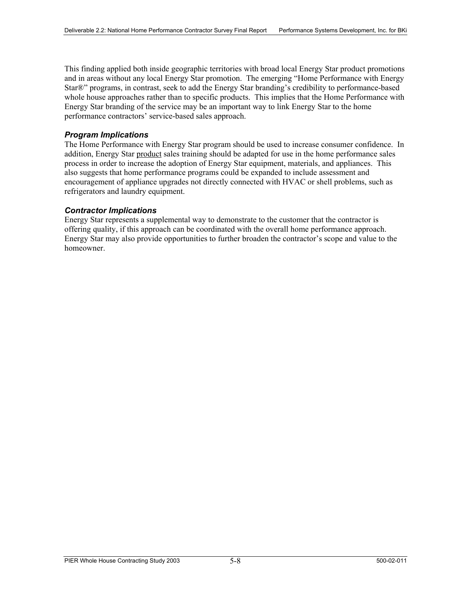This finding applied both inside geographic territories with broad local Energy Star product promotions and in areas without any local Energy Star promotion. The emerging "Home Performance with Energy Star®" programs, in contrast, seek to add the Energy Star branding's credibility to performance-based whole house approaches rather than to specific products. This implies that the Home Performance with Energy Star branding of the service may be an important way to link Energy Star to the home performance contractors' service-based sales approach.

#### *Program Implications*

The Home Performance with Energy Star program should be used to increase consumer confidence. In addition, Energy Star product sales training should be adapted for use in the home performance sales process in order to increase the adoption of Energy Star equipment, materials, and appliances. This also suggests that home performance programs could be expanded to include assessment and encouragement of appliance upgrades not directly connected with HVAC or shell problems, such as refrigerators and laundry equipment.

#### *Contractor Implications*

Energy Star represents a supplemental way to demonstrate to the customer that the contractor is offering quality, if this approach can be coordinated with the overall home performance approach. Energy Star may also provide opportunities to further broaden the contractor's scope and value to the homeowner.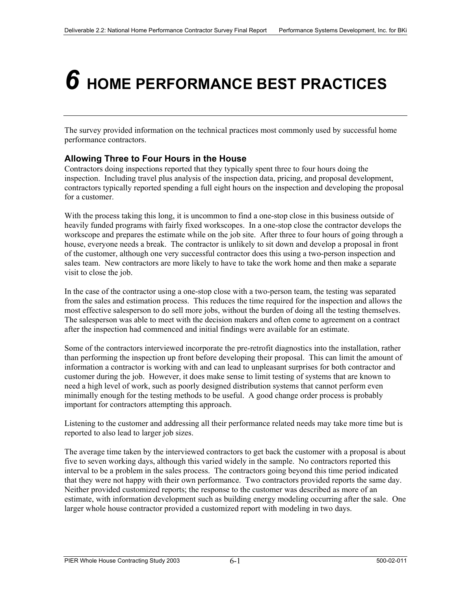# *6* **HOME PERFORMANCE BEST PRACTICES**

The survey provided information on the technical practices most commonly used by successful home performance contractors.

#### **Allowing Three to Four Hours in the House**

Contractors doing inspections reported that they typically spent three to four hours doing the inspection. Including travel plus analysis of the inspection data, pricing, and proposal development, contractors typically reported spending a full eight hours on the inspection and developing the proposal for a customer.

With the process taking this long, it is uncommon to find a one-stop close in this business outside of heavily funded programs with fairly fixed workscopes. In a one-stop close the contractor develops the workscope and prepares the estimate while on the job site. After three to four hours of going through a house, everyone needs a break. The contractor is unlikely to sit down and develop a proposal in front of the customer, although one very successful contractor does this using a two-person inspection and sales team. New contractors are more likely to have to take the work home and then make a separate visit to close the job.

In the case of the contractor using a one-stop close with a two-person team, the testing was separated from the sales and estimation process. This reduces the time required for the inspection and allows the most effective salesperson to do sell more jobs, without the burden of doing all the testing themselves. The salesperson was able to meet with the decision makers and often come to agreement on a contract after the inspection had commenced and initial findings were available for an estimate.

Some of the contractors interviewed incorporate the pre-retrofit diagnostics into the installation, rather than performing the inspection up front before developing their proposal. This can limit the amount of information a contractor is working with and can lead to unpleasant surprises for both contractor and customer during the job. However, it does make sense to limit testing of systems that are known to need a high level of work, such as poorly designed distribution systems that cannot perform even minimally enough for the testing methods to be useful. A good change order process is probably important for contractors attempting this approach.

Listening to the customer and addressing all their performance related needs may take more time but is reported to also lead to larger job sizes.

The average time taken by the interviewed contractors to get back the customer with a proposal is about five to seven working days, although this varied widely in the sample. No contractors reported this interval to be a problem in the sales process. The contractors going beyond this time period indicated that they were not happy with their own performance. Two contractors provided reports the same day. Neither provided customized reports; the response to the customer was described as more of an estimate, with information development such as building energy modeling occurring after the sale. One larger whole house contractor provided a customized report with modeling in two days.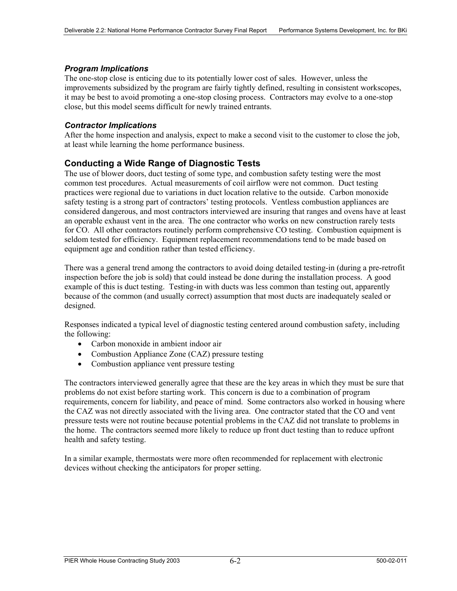#### *Program Implications*

The one-stop close is enticing due to its potentially lower cost of sales. However, unless the improvements subsidized by the program are fairly tightly defined, resulting in consistent workscopes, it may be best to avoid promoting a one-stop closing process. Contractors may evolve to a one-stop close, but this model seems difficult for newly trained entrants.

#### *Contractor Implications*

After the home inspection and analysis, expect to make a second visit to the customer to close the job, at least while learning the home performance business.

#### **Conducting a Wide Range of Diagnostic Tests**

The use of blower doors, duct testing of some type, and combustion safety testing were the most common test procedures. Actual measurements of coil airflow were not common. Duct testing practices were regional due to variations in duct location relative to the outside. Carbon monoxide safety testing is a strong part of contractors' testing protocols. Ventless combustion appliances are considered dangerous, and most contractors interviewed are insuring that ranges and ovens have at least an operable exhaust vent in the area. The one contractor who works on new construction rarely tests for CO. All other contractors routinely perform comprehensive CO testing. Combustion equipment is seldom tested for efficiency. Equipment replacement recommendations tend to be made based on equipment age and condition rather than tested efficiency.

There was a general trend among the contractors to avoid doing detailed testing-in (during a pre-retrofit inspection before the job is sold) that could instead be done during the installation process. A good example of this is duct testing. Testing-in with ducts was less common than testing out, apparently because of the common (and usually correct) assumption that most ducts are inadequately sealed or designed.

Responses indicated a typical level of diagnostic testing centered around combustion safety, including the following:

- Carbon monoxide in ambient indoor air
- Combustion Appliance Zone (CAZ) pressure testing
- Combustion appliance vent pressure testing

The contractors interviewed generally agree that these are the key areas in which they must be sure that problems do not exist before starting work. This concern is due to a combination of program requirements, concern for liability, and peace of mind. Some contractors also worked in housing where the CAZ was not directly associated with the living area. One contractor stated that the CO and vent pressure tests were not routine because potential problems in the CAZ did not translate to problems in the home. The contractors seemed more likely to reduce up front duct testing than to reduce upfront health and safety testing.

In a similar example, thermostats were more often recommended for replacement with electronic devices without checking the anticipators for proper setting.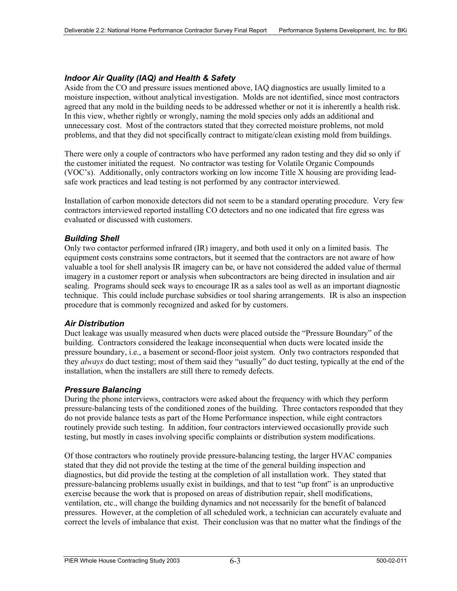#### *Indoor Air Quality (IAQ) and Health & Safety*

Aside from the CO and pressure issues mentioned above, IAQ diagnostics are usually limited to a moisture inspection, without analytical investigation. Molds are not identified, since most contractors agreed that any mold in the building needs to be addressed whether or not it is inherently a health risk. In this view, whether rightly or wrongly, naming the mold species only adds an additional and unnecessary cost. Most of the contractors stated that they corrected moisture problems, not mold problems, and that they did not specifically contract to mitigate/clean existing mold from buildings.

There were only a couple of contractors who have performed any radon testing and they did so only if the customer initiated the request. No contractor was testing for Volatile Organic Compounds (VOC's). Additionally, only contractors working on low income Title X housing are providing leadsafe work practices and lead testing is not performed by any contractor interviewed.

Installation of carbon monoxide detectors did not seem to be a standard operating procedure. Very few contractors interviewed reported installing CO detectors and no one indicated that fire egress was evaluated or discussed with customers.

#### *Building Shell*

Only two contactor performed infrared (IR) imagery, and both used it only on a limited basis. The equipment costs constrains some contractors, but it seemed that the contractors are not aware of how valuable a tool for shell analysis IR imagery can be, or have not considered the added value of thermal imagery in a customer report or analysis when subcontractors are being directed in insulation and air sealing. Programs should seek ways to encourage IR as a sales tool as well as an important diagnostic technique. This could include purchase subsidies or tool sharing arrangements. IR is also an inspection procedure that is commonly recognized and asked for by customers.

#### *Air Distribution*

Duct leakage was usually measured when ducts were placed outside the "Pressure Boundary" of the building. Contractors considered the leakage inconsequential when ducts were located inside the pressure boundary, i.e., a basement or second-floor joist system. Only two contractors responded that they *always* do duct testing; most of them said they "usually" do duct testing, typically at the end of the installation, when the installers are still there to remedy defects.

#### *Pressure Balancing*

During the phone interviews, contractors were asked about the frequency with which they perform pressure-balancing tests of the conditioned zones of the building. Three contactors responded that they do not provide balance tests as part of the Home Performance inspection, while eight contractors routinely provide such testing. In addition, four contractors interviewed occasionally provide such testing, but mostly in cases involving specific complaints or distribution system modifications.

Of those contractors who routinely provide pressure-balancing testing, the larger HVAC companies stated that they did not provide the testing at the time of the general building inspection and diagnostics, but did provide the testing at the completion of all installation work. They stated that pressure-balancing problems usually exist in buildings, and that to test "up front" is an unproductive exercise because the work that is proposed on areas of distribution repair, shell modifications, ventilation, etc., will change the building dynamics and not necessarily for the benefit of balanced pressures. However, at the completion of all scheduled work, a technician can accurately evaluate and correct the levels of imbalance that exist. Their conclusion was that no matter what the findings of the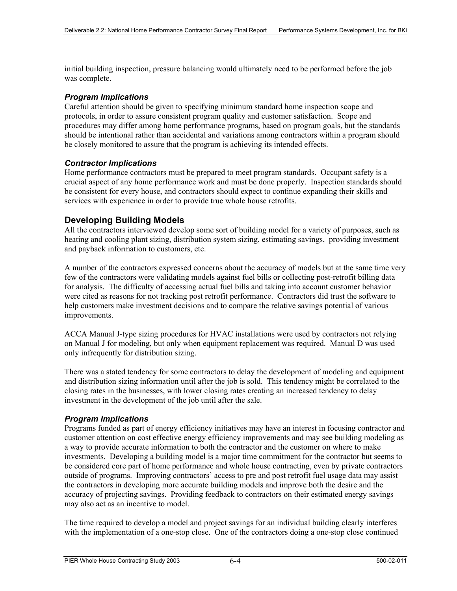initial building inspection, pressure balancing would ultimately need to be performed before the job was complete.

#### *Program Implications*

Careful attention should be given to specifying minimum standard home inspection scope and protocols, in order to assure consistent program quality and customer satisfaction. Scope and procedures may differ among home performance programs, based on program goals, but the standards should be intentional rather than accidental and variations among contractors within a program should be closely monitored to assure that the program is achieving its intended effects.

#### *Contractor Implications*

Home performance contractors must be prepared to meet program standards. Occupant safety is a crucial aspect of any home performance work and must be done properly. Inspection standards should be consistent for every house, and contractors should expect to continue expanding their skills and services with experience in order to provide true whole house retrofits.

#### **Developing Building Models**

All the contractors interviewed develop some sort of building model for a variety of purposes, such as heating and cooling plant sizing, distribution system sizing, estimating savings, providing investment and payback information to customers, etc.

A number of the contractors expressed concerns about the accuracy of models but at the same time very few of the contractors were validating models against fuel bills or collecting post-retrofit billing data for analysis. The difficulty of accessing actual fuel bills and taking into account customer behavior were cited as reasons for not tracking post retrofit performance. Contractors did trust the software to help customers make investment decisions and to compare the relative savings potential of various improvements.

ACCA Manual J-type sizing procedures for HVAC installations were used by contractors not relying on Manual J for modeling, but only when equipment replacement was required. Manual D was used only infrequently for distribution sizing.

There was a stated tendency for some contractors to delay the development of modeling and equipment and distribution sizing information until after the job is sold. This tendency might be correlated to the closing rates in the businesses, with lower closing rates creating an increased tendency to delay investment in the development of the job until after the sale.

#### *Program Implications*

Programs funded as part of energy efficiency initiatives may have an interest in focusing contractor and customer attention on cost effective energy efficiency improvements and may see building modeling as a way to provide accurate information to both the contractor and the customer on where to make investments. Developing a building model is a major time commitment for the contractor but seems to be considered core part of home performance and whole house contracting, even by private contractors outside of programs. Improving contractors' access to pre and post retrofit fuel usage data may assist the contractors in developing more accurate building models and improve both the desire and the accuracy of projecting savings. Providing feedback to contractors on their estimated energy savings may also act as an incentive to model.

The time required to develop a model and project savings for an individual building clearly interferes with the implementation of a one-stop close. One of the contractors doing a one-stop close continued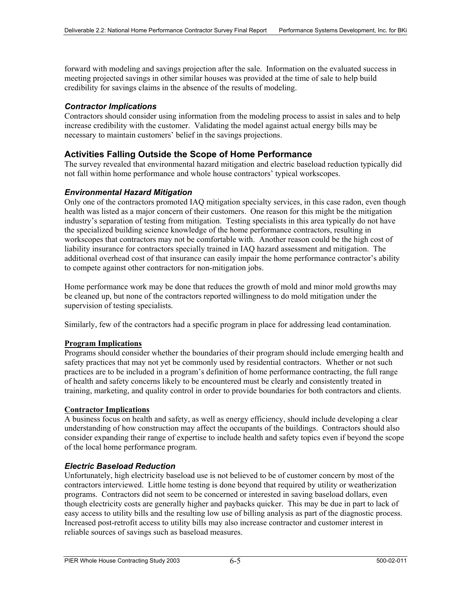forward with modeling and savings projection after the sale. Information on the evaluated success in meeting projected savings in other similar houses was provided at the time of sale to help build credibility for savings claims in the absence of the results of modeling.

#### *Contractor Implications*

Contractors should consider using information from the modeling process to assist in sales and to help increase credibility with the customer. Validating the model against actual energy bills may be necessary to maintain customers' belief in the savings projections.

#### **Activities Falling Outside the Scope of Home Performance**

The survey revealed that environmental hazard mitigation and electric baseload reduction typically did not fall within home performance and whole house contractors' typical workscopes.

#### *Environmental Hazard Mitigation*

Only one of the contractors promoted IAQ mitigation specialty services, in this case radon, even though health was listed as a major concern of their customers. One reason for this might be the mitigation industry's separation of testing from mitigation. Testing specialists in this area typically do not have the specialized building science knowledge of the home performance contractors, resulting in workscopes that contractors may not be comfortable with. Another reason could be the high cost of liability insurance for contractors specially trained in IAQ hazard assessment and mitigation. The additional overhead cost of that insurance can easily impair the home performance contractor's ability to compete against other contractors for non-mitigation jobs.

Home performance work may be done that reduces the growth of mold and minor mold growths may be cleaned up, but none of the contractors reported willingness to do mold mitigation under the supervision of testing specialists.

Similarly, few of the contractors had a specific program in place for addressing lead contamination.

#### **Program Implications**

Programs should consider whether the boundaries of their program should include emerging health and safety practices that may not yet be commonly used by residential contractors. Whether or not such practices are to be included in a program's definition of home performance contracting, the full range of health and safety concerns likely to be encountered must be clearly and consistently treated in training, marketing, and quality control in order to provide boundaries for both contractors and clients.

#### **Contractor Implications**

A business focus on health and safety, as well as energy efficiency, should include developing a clear understanding of how construction may affect the occupants of the buildings. Contractors should also consider expanding their range of expertise to include health and safety topics even if beyond the scope of the local home performance program.

#### *Electric Baseload Reduction*

Unfortunately, high electricity baseload use is not believed to be of customer concern by most of the contractors interviewed. Little home testing is done beyond that required by utility or weatherization programs. Contractors did not seem to be concerned or interested in saving baseload dollars, even though electricity costs are generally higher and paybacks quicker. This may be due in part to lack of easy access to utility bills and the resulting low use of billing analysis as part of the diagnostic process. Increased post-retrofit access to utility bills may also increase contractor and customer interest in reliable sources of savings such as baseload measures.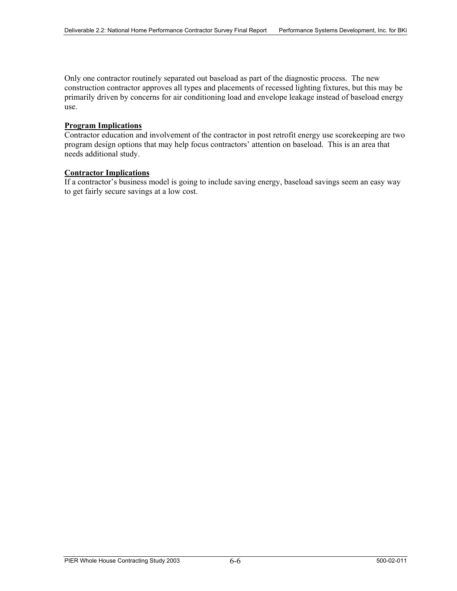Only one contractor routinely separated out baseload as part of the diagnostic process. The new construction contractor approves all types and placements of recessed lighting fixtures, but this may be primarily driven by concerns for air conditioning load and envelope leakage instead of baseload energy use.

#### **Program Implications**

Contractor education and involvement of the contractor in post retrofit energy use scorekeeping are two program design options that may help focus contractors' attention on baseload. This is an area that needs additional study.

#### **Contractor Implications**

If a contractor's business model is going to include saving energy, baseload savings seem an easy way to get fairly secure savings at a low cost.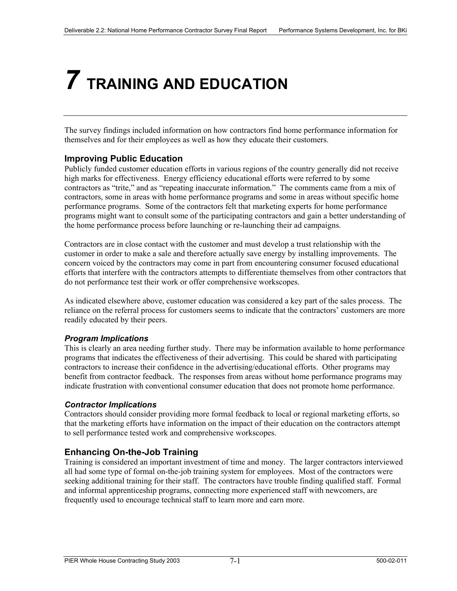### *7* **TRAINING AND EDUCATION**

The survey findings included information on how contractors find home performance information for themselves and for their employees as well as how they educate their customers.

#### **Improving Public Education**

Publicly funded customer education efforts in various regions of the country generally did not receive high marks for effectiveness. Energy efficiency educational efforts were referred to by some contractors as "trite," and as "repeating inaccurate information." The comments came from a mix of contractors, some in areas with home performance programs and some in areas without specific home performance programs. Some of the contractors felt that marketing experts for home performance programs might want to consult some of the participating contractors and gain a better understanding of the home performance process before launching or re-launching their ad campaigns.

Contractors are in close contact with the customer and must develop a trust relationship with the customer in order to make a sale and therefore actually save energy by installing improvements. The concern voiced by the contractors may come in part from encountering consumer focused educational efforts that interfere with the contractors attempts to differentiate themselves from other contractors that do not performance test their work or offer comprehensive workscopes.

As indicated elsewhere above, customer education was considered a key part of the sales process. The reliance on the referral process for customers seems to indicate that the contractors' customers are more readily educated by their peers.

#### *Program Implications*

This is clearly an area needing further study. There may be information available to home performance programs that indicates the effectiveness of their advertising. This could be shared with participating contractors to increase their confidence in the advertising/educational efforts. Other programs may benefit from contractor feedback. The responses from areas without home performance programs may indicate frustration with conventional consumer education that does not promote home performance.

#### *Contractor Implications*

Contractors should consider providing more formal feedback to local or regional marketing efforts, so that the marketing efforts have information on the impact of their education on the contractors attempt to sell performance tested work and comprehensive workscopes.

#### **Enhancing On-the-Job Training**

Training is considered an important investment of time and money. The larger contractors interviewed all had some type of formal on-the-job training system for employees. Most of the contractors were seeking additional training for their staff. The contractors have trouble finding qualified staff. Formal and informal apprenticeship programs, connecting more experienced staff with newcomers, are frequently used to encourage technical staff to learn more and earn more.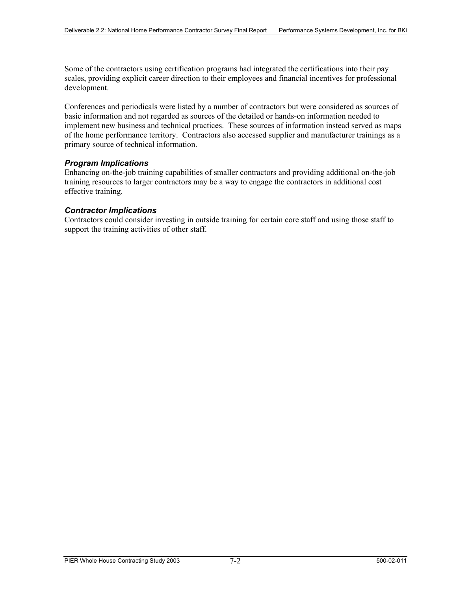Some of the contractors using certification programs had integrated the certifications into their pay scales, providing explicit career direction to their employees and financial incentives for professional development.

Conferences and periodicals were listed by a number of contractors but were considered as sources of basic information and not regarded as sources of the detailed or hands-on information needed to implement new business and technical practices. These sources of information instead served as maps of the home performance territory. Contractors also accessed supplier and manufacturer trainings as a primary source of technical information.

#### *Program Implications*

Enhancing on-the-job training capabilities of smaller contractors and providing additional on-the-job training resources to larger contractors may be a way to engage the contractors in additional cost effective training.

#### *Contractor Implications*

Contractors could consider investing in outside training for certain core staff and using those staff to support the training activities of other staff.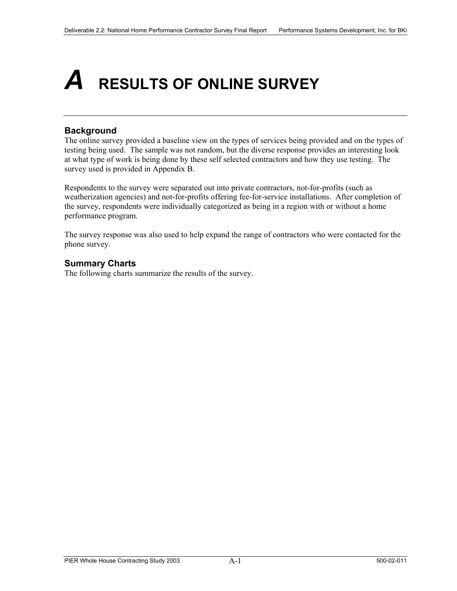### *A* **RESULTS OF ONLINE SURVEY**

#### **Background**

The online survey provided a baseline view on the types of services being provided and on the types of testing being used. The sample was not random, but the diverse response provides an interesting look at what type of work is being done by these self selected contractors and how they use testing. The survey used is provided in Appendix B.

Respondents to the survey were separated out into private contractors, not-for-profits (such as weatherization agencies) and not-for-profits offering fee-for-service installations. After completion of the survey, respondents were individually categorized as being in a region with or without a home performance program.

The survey response was also used to help expand the range of contractors who were contacted for the phone survey.

#### **Summary Charts**

The following charts summarize the results of the survey.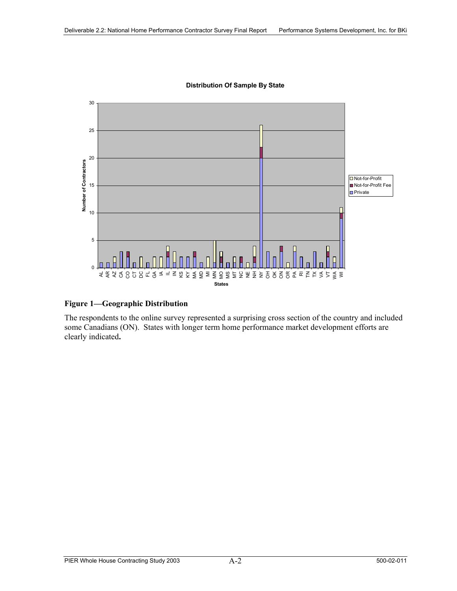

**Distribution Of Sample By State**

#### **Figure 1—Geographic Distribution**

The respondents to the online survey represented a surprising cross section of the country and included some Canadians (ON). States with longer term home performance market development efforts are clearly indicated**.**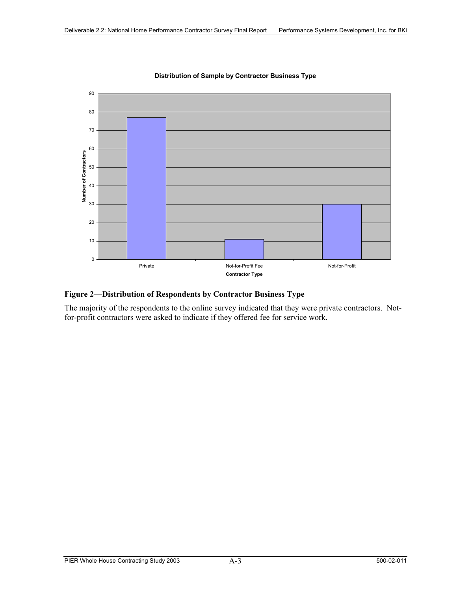

#### **Distribution of Sample by Contractor Business Type**

#### **Figure 2—Distribution of Respondents by Contractor Business Type**

The majority of the respondents to the online survey indicated that they were private contractors. Notfor-profit contractors were asked to indicate if they offered fee for service work.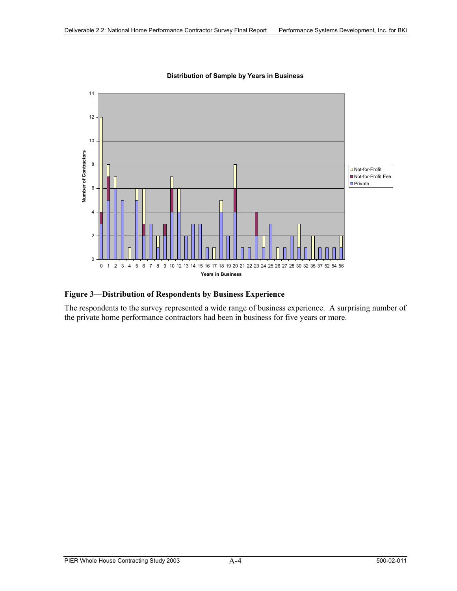

**Distribution of Sample by Years in Business**

#### **Figure 3—Distribution of Respondents by Business Experience**

The respondents to the survey represented a wide range of business experience. A surprising number of the private home performance contractors had been in business for five years or more.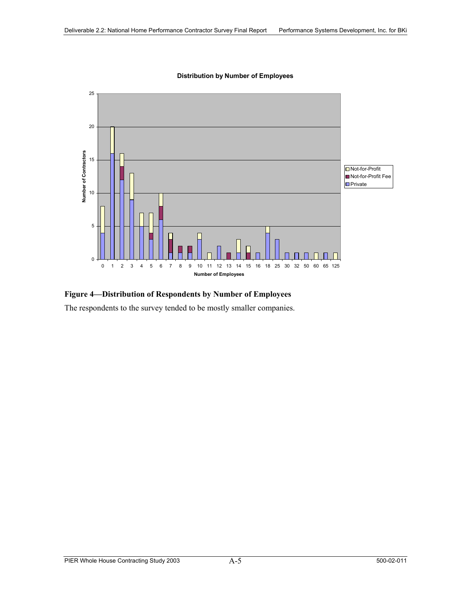

**Distribution by Number of Employees**

#### **Figure 4—Distribution of Respondents by Number of Employees**

The respondents to the survey tended to be mostly smaller companies.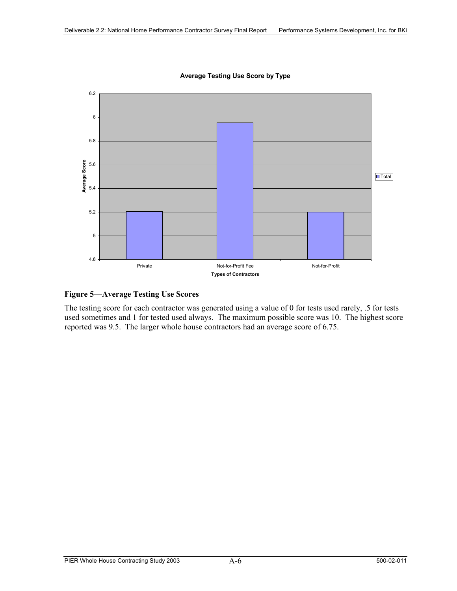

**Average Testing Use Score by Type**

#### **Figure 5—Average Testing Use Scores**

The testing score for each contractor was generated using a value of 0 for tests used rarely, .5 for tests used sometimes and 1 for tested used always. The maximum possible score was 10. The highest score reported was 9.5. The larger whole house contractors had an average score of 6.75.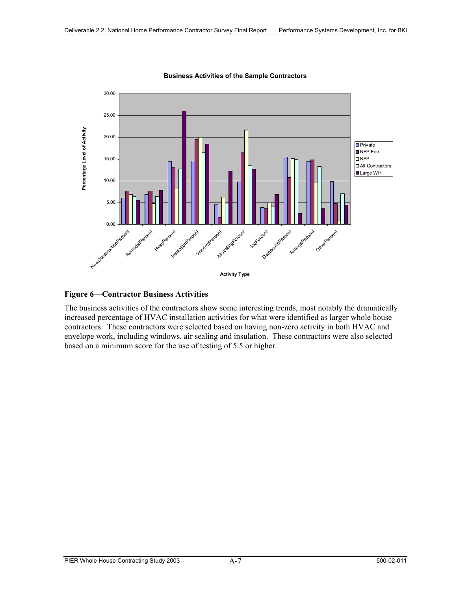

**Business Activities of the Sample Contractors**

#### **Figure 6—Contractor Business Activities**

The business activities of the contractors show some interesting trends, most notably the dramatically increased percentage of HVAC installation activities for what were identified as larger whole house contractors. These contractors were selected based on having non-zero activity in both HVAC and envelope work, including windows, air sealing and insulation. These contractors were also selected based on a minimum score for the use of testing of 5.5 or higher.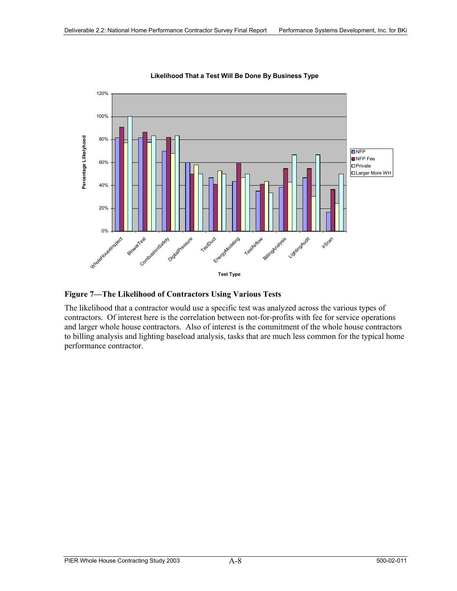

**Likelihood That a Test Will Be Done By Business Type**

**Figure 7—The Likelihood of Contractors Using Various Tests** 

The likelihood that a contractor would use a specific test was analyzed across the various types of contractors. Of interest here is the correlation between not-for-profits with fee for service operations and larger whole house contractors. Also of interest is the commitment of the whole house contractors to billing analysis and lighting baseload analysis, tasks that are much less common for the typical home performance contractor.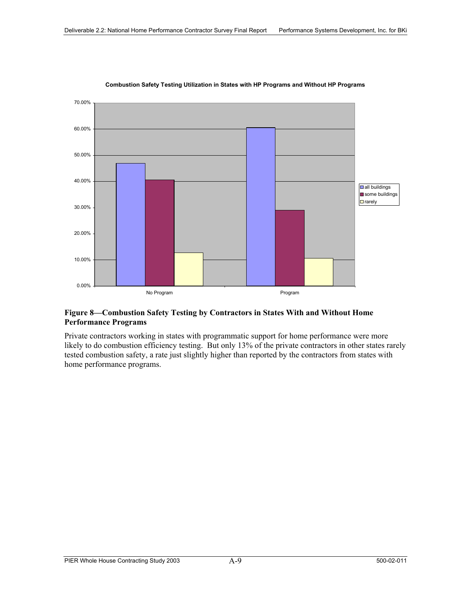

**Combustion Safety Testing Utilization in States with HP Programs and Without HP Programs**

#### **Figure 8—Combustion Safety Testing by Contractors in States With and Without Home Performance Programs**

Private contractors working in states with programmatic support for home performance were more likely to do combustion efficiency testing. But only 13% of the private contractors in other states rarely tested combustion safety, a rate just slightly higher than reported by the contractors from states with home performance programs.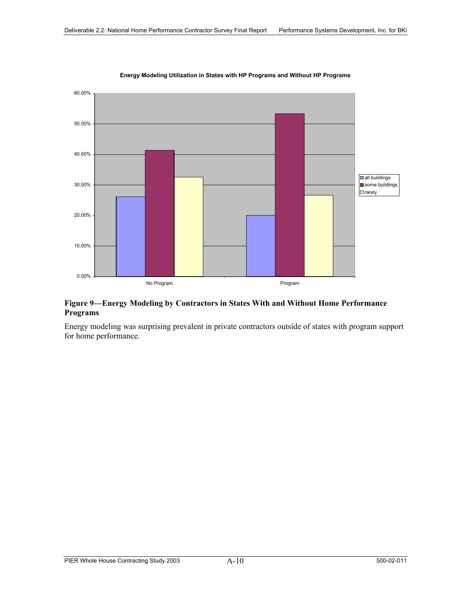

#### **Energy Modeling Utilization in States with HP Programs and Without HP Programs**

#### **Figure 9—Energy Modeling by Contractors in States With and Without Home Performance Programs**

Energy modeling was surprising prevalent in private contractors outside of states with program support for home performance.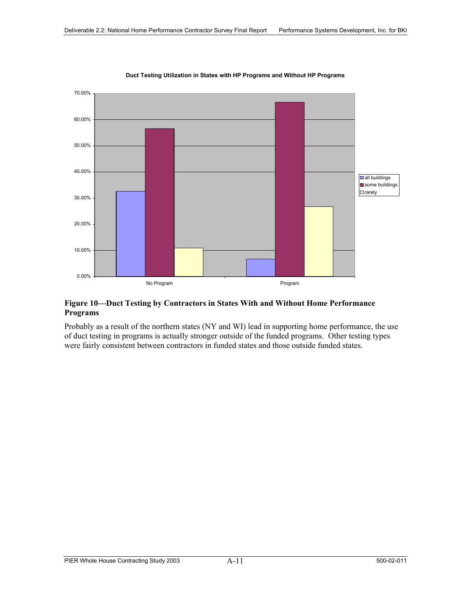

#### **Duct Testing Utilization in States with HP Programs and Without HP Programs**

#### **Figure 10—Duct Testing by Contractors in States With and Without Home Performance Programs**

Probably as a result of the northern states (NY and WI) lead in supporting home performance, the use of duct testing in programs is actually stronger outside of the funded programs. Other testing types were fairly consistent between contractors in funded states and those outside funded states.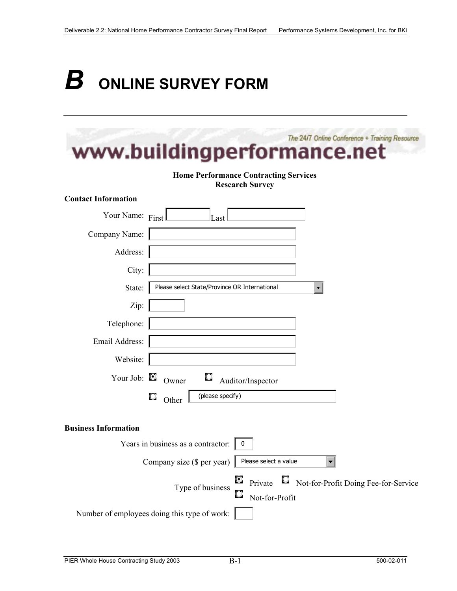# *B* ONLINE SURVEY FORM

|                             | The 24/7 Online Conference + Training Resource<br>www.buildingperformance.net                |
|-----------------------------|----------------------------------------------------------------------------------------------|
|                             | <b>Home Performance Contracting Services</b><br><b>Research Survey</b>                       |
| <b>Contact Information</b>  |                                                                                              |
| Your Name: First            | Last                                                                                         |
| Company Name:               |                                                                                              |
| Address:                    |                                                                                              |
| City:                       |                                                                                              |
| State:                      | Please select State/Province OR International                                                |
| Zip:                        |                                                                                              |
| Telephone:                  |                                                                                              |
| Email Address:              |                                                                                              |
| Website:                    |                                                                                              |
| Your Job: $\blacksquare$    | Owner<br>Auditor/Inspector                                                                   |
|                             | (please specify)<br>о<br>Other                                                               |
| <b>Business Information</b> |                                                                                              |
|                             | Years in business as a contractor:<br>0                                                      |
|                             | Company size (\$ per year)<br>Please select a value                                          |
|                             | О<br>Private Not-for-Profit Doing Fee-for-Service<br>Type of business<br>О<br>Not-for-Profit |
|                             | Number of employees doing this type of work:                                                 |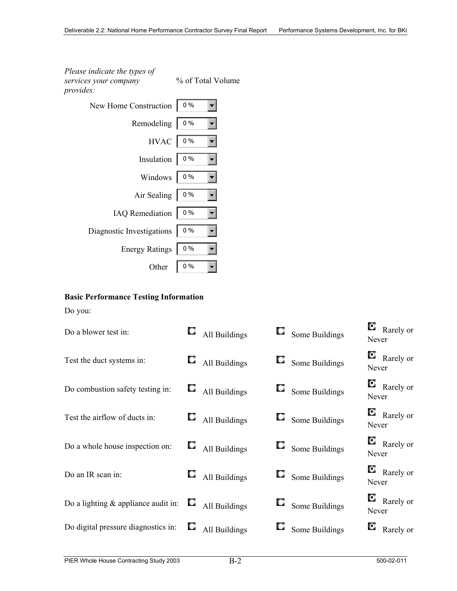*Please indicate the types of services your company provides:*

% of Total Volume

| www.                      |       |
|---------------------------|-------|
| New Home Construction     | $0\%$ |
| Remodeling                | $0\%$ |
| $HVAC$ 0%                 |       |
| Insulation                | $0\%$ |
| Windows                   | $0\%$ |
| Air Sealing               | $0\%$ |
| IAQ Remediation   0%      |       |
| Diagnostic Investigations | $0\%$ |
| <b>Energy Ratings</b>     | $0\%$ |
| Other                     | $0\%$ |

#### **Basic Performance Testing Information**

Do you:

| Do a blower test in:                  |     | $\Box$ All Buildings | $\Box$ Some Buildings | Never | $\bullet$ Rarely or |
|---------------------------------------|-----|----------------------|-----------------------|-------|---------------------|
| Test the duct systems in:             |     | $\Box$ All Buildings | $\Box$ Some Buildings | Never | $\bullet$ Rarely or |
| Do combustion safety testing in:      |     | $\Box$ All Buildings | $\Box$ Some Buildings | Never | $\bullet$ Rarely or |
| Test the airflow of ducts in:         |     | $\Box$ All Buildings | $\Box$ Some Buildings | Never | $\bullet$ Rarely or |
| Do a whole house inspection on:       |     | $\Box$ All Buildings | $\Box$ Some Buildings | Never | $\bullet$ Rarely or |
| Do an IR scan in:                     |     | $\Box$ All Buildings | $\Box$ Some Buildings | Never | $\bullet$ Rarely or |
| Do a lighting $&$ appliance audit in: | U   | All Buildings        | Some Buildings        | Never | $\bullet$ Rarely or |
| Do digital pressure diagnostics in:   | k., | All Buildings        | Some Buildings        |       | $\bullet$ Rarely or |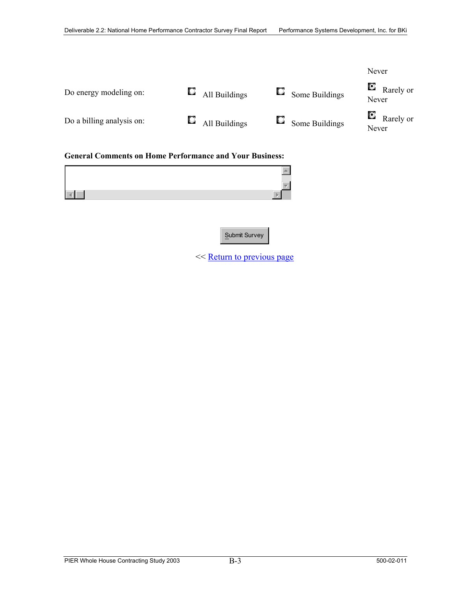

<< Return to previous page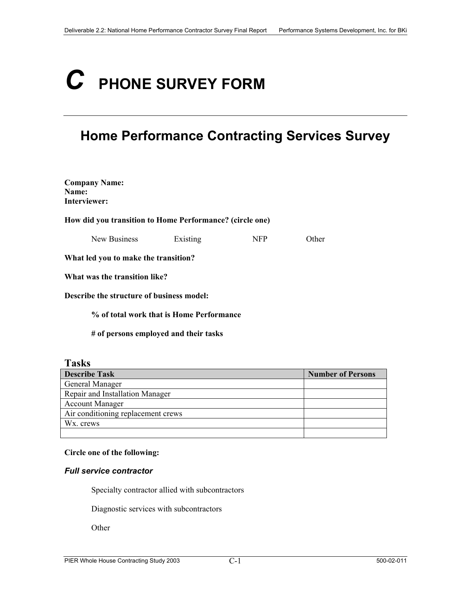# *C* **PHONE SURVEY FORM**

#### **Home Performance Contracting Services Survey**

| <b>Company Name:</b><br>Name:<br>Interviewer:            |                                          |            |       |
|----------------------------------------------------------|------------------------------------------|------------|-------|
| How did you transition to Home Performance? (circle one) |                                          |            |       |
| New Business                                             | Existing                                 | <b>NFP</b> | Other |
| What led you to make the transition?                     |                                          |            |       |
| What was the transition like?                            |                                          |            |       |
| Describe the structure of business model:                |                                          |            |       |
|                                                          | % of total work that is Home Performance |            |       |
|                                                          | # of persons employed and their tasks    |            |       |

#### **Tasks**

| <b>Describe Task</b>               | <b>Number of Persons</b> |
|------------------------------------|--------------------------|
| General Manager                    |                          |
| Repair and Installation Manager    |                          |
| <b>Account Manager</b>             |                          |
| Air conditioning replacement crews |                          |
| W <sub>x</sub> , crews             |                          |
|                                    |                          |

#### **Circle one of the following:**

#### *Full service contractor*

Specialty contractor allied with subcontractors

Diagnostic services with subcontractors

**Other**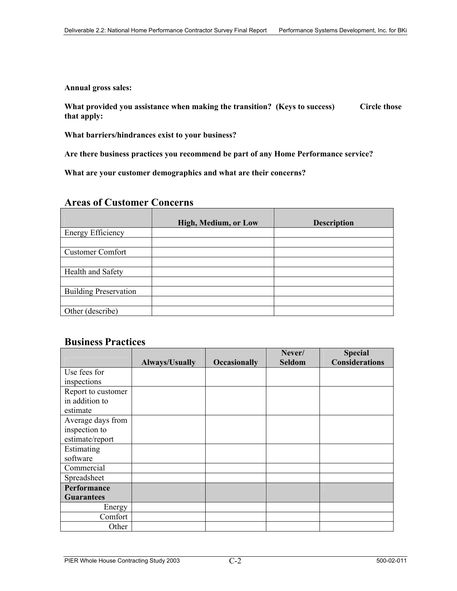**Annual gross sales:** 

**What provided you assistance when making the transition? (Keys to success) Circle those that apply:** 

**What barriers/hindrances exist to your business?** 

**Are there business practices you recommend be part of any Home Performance service?** 

**What are your customer demographics and what are their concerns?** 

#### **Areas of Customer Concerns**

|                              | High, Medium, or Low | <b>Description</b> |
|------------------------------|----------------------|--------------------|
| <b>Energy Efficiency</b>     |                      |                    |
|                              |                      |                    |
| <b>Customer Comfort</b>      |                      |                    |
|                              |                      |                    |
| Health and Safety            |                      |                    |
|                              |                      |                    |
| <b>Building Preservation</b> |                      |                    |
|                              |                      |                    |
| Other (describe)             |                      |                    |

#### **Business Practices**

|                    |                |                     | Never/ | <b>Special</b>        |
|--------------------|----------------|---------------------|--------|-----------------------|
|                    | Always/Usually | <b>Occasionally</b> | Seldom | <b>Considerations</b> |
| Use fees for       |                |                     |        |                       |
| inspections        |                |                     |        |                       |
| Report to customer |                |                     |        |                       |
| in addition to     |                |                     |        |                       |
| estimate           |                |                     |        |                       |
| Average days from  |                |                     |        |                       |
| inspection to      |                |                     |        |                       |
| estimate/report    |                |                     |        |                       |
| Estimating         |                |                     |        |                       |
| software           |                |                     |        |                       |
| Commercial         |                |                     |        |                       |
| Spreadsheet        |                |                     |        |                       |
| Performance        |                |                     |        |                       |
| <b>Guarantees</b>  |                |                     |        |                       |
| Energy             |                |                     |        |                       |
| Comfort            |                |                     |        |                       |
| Other              |                |                     |        |                       |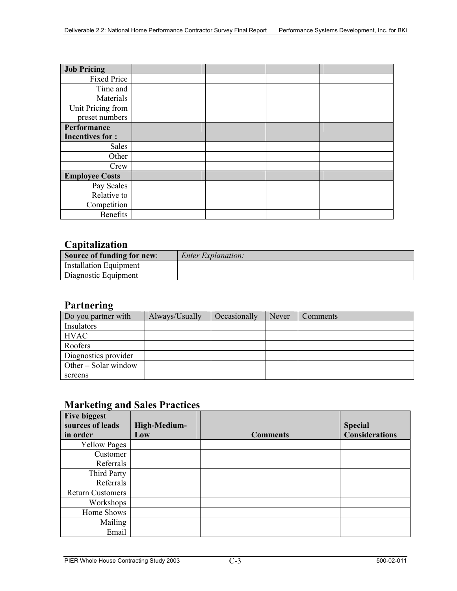| <b>Job Pricing</b>     |  |  |
|------------------------|--|--|
| <b>Fixed Price</b>     |  |  |
| Time and               |  |  |
| Materials              |  |  |
| Unit Pricing from      |  |  |
| preset numbers         |  |  |
| Performance            |  |  |
| <b>Incentives for:</b> |  |  |
| Sales                  |  |  |
| Other                  |  |  |
| Crew                   |  |  |
| <b>Employee Costs</b>  |  |  |
| Pay Scales             |  |  |
| Relative to            |  |  |
| Competition            |  |  |
| <b>Benefits</b>        |  |  |

#### **Capitalization**

| _______________            |                           |
|----------------------------|---------------------------|
| Source of funding for new: | <i>Enter Explanation:</i> |
| Installation Equipment     |                           |
| Diagnostic Equipment       |                           |

#### **Partnering**

| Do you partner with    | Always/Usually | Occasionally | Never | Comments |
|------------------------|----------------|--------------|-------|----------|
| Insulators             |                |              |       |          |
| <b>HVAC</b>            |                |              |       |          |
| Roofers                |                |              |       |          |
| Diagnostics provider   |                |              |       |          |
| Other $-$ Solar window |                |              |       |          |
| screens                |                |              |       |          |

#### **Marketing and Sales Practices**

| <b>Five biggest</b><br>sources of leads | High-Medium- |                 | <b>Special</b>        |
|-----------------------------------------|--------------|-----------------|-----------------------|
| in order                                | Low          | <b>Comments</b> | <b>Considerations</b> |
| <b>Yellow Pages</b>                     |              |                 |                       |
| Customer                                |              |                 |                       |
| Referrals                               |              |                 |                       |
| Third Party                             |              |                 |                       |
| Referrals                               |              |                 |                       |
| <b>Return Customers</b>                 |              |                 |                       |
| Workshops                               |              |                 |                       |
| Home Shows                              |              |                 |                       |
| Mailing                                 |              |                 |                       |
| Email                                   |              |                 |                       |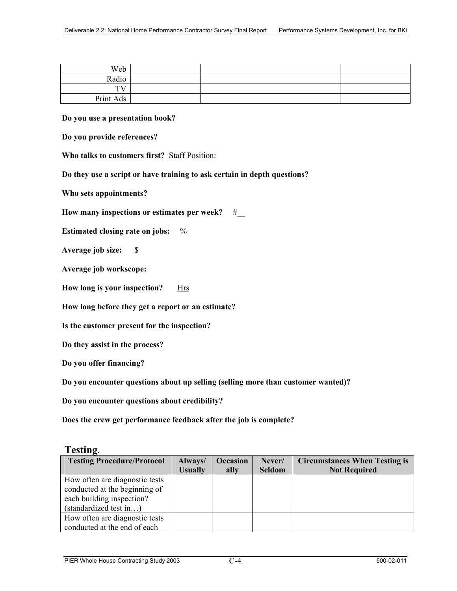| Web       |  |  |
|-----------|--|--|
| Radio     |  |  |
| TV.       |  |  |
| Print Ads |  |  |

#### **Do you use a presentation book?**

**Do you provide references?** 

**Who talks to customers first?** Staff Position:

**Do they use a script or have training to ask certain in depth questions?**

**Who sets appointments?**

How many inspections or estimates per week? #

**Estimated closing rate on jobs:**  $\frac{9}{6}$ 

Average job size: \$

**Average job workscope:** 

How long is your inspection? Hrs

**How long before they get a report or an estimate?** 

**Is the customer present for the inspection?** 

**Do they assist in the process?**

**Do you offer financing?**

**Do you encounter questions about up selling (selling more than customer wanted)?**

**Do you encounter questions about credibility?**

**Does the crew get performance feedback after the job is complete?**

#### **Testing**.

| <b>Testing Procedure/Protocol</b> | Always/        | <b>Occasion</b> | Never/        | <b>Circumstances When Testing is</b> |
|-----------------------------------|----------------|-----------------|---------------|--------------------------------------|
|                                   | <b>Usually</b> | ally            | <b>Seldom</b> | <b>Not Required</b>                  |
| How often are diagnostic tests    |                |                 |               |                                      |
| conducted at the beginning of     |                |                 |               |                                      |
| each building inspection?         |                |                 |               |                                      |
| (standardized test in)            |                |                 |               |                                      |
| How often are diagnostic tests    |                |                 |               |                                      |
| conducted at the end of each      |                |                 |               |                                      |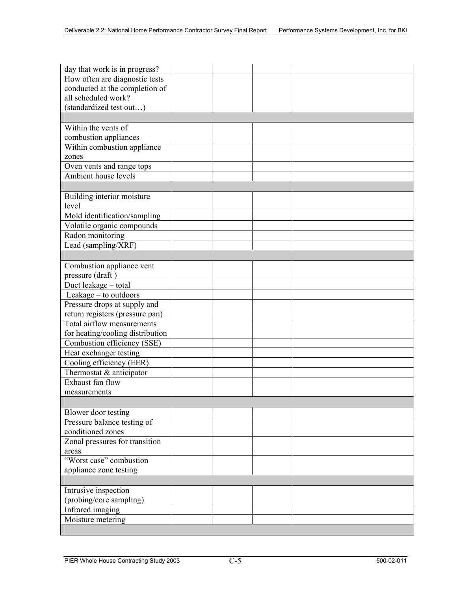| day that work is in progress?    |  |  |
|----------------------------------|--|--|
| How often are diagnostic tests   |  |  |
| conducted at the completion of   |  |  |
| all scheduled work?              |  |  |
| (standardized test out)          |  |  |
|                                  |  |  |
| Within the vents of              |  |  |
| combustion appliances            |  |  |
| Within combustion appliance      |  |  |
| zones                            |  |  |
| Oven vents and range tops        |  |  |
| Ambient house levels             |  |  |
|                                  |  |  |
| Building interior moisture       |  |  |
| level                            |  |  |
| Mold identification/sampling     |  |  |
| Volatile organic compounds       |  |  |
| Radon monitoring                 |  |  |
| Lead (sampling/XRF)              |  |  |
|                                  |  |  |
| Combustion appliance vent        |  |  |
| pressure (draft)                 |  |  |
| Duct leakage - total             |  |  |
| Leakage - to outdoors            |  |  |
| Pressure drops at supply and     |  |  |
| return registers (pressure pan)  |  |  |
| Total airflow measurements       |  |  |
| for heating/cooling distribution |  |  |
| Combustion efficiency (SSE)      |  |  |
| Heat exchanger testing           |  |  |
| Cooling efficiency (EER)         |  |  |
| Thermostat & anticipator         |  |  |
| Exhaust fan flow                 |  |  |
| measurements                     |  |  |
|                                  |  |  |
| Blower door testing              |  |  |
| Pressure balance testing of      |  |  |
| conditioned zones                |  |  |
| Zonal pressures for transition   |  |  |
| areas                            |  |  |
| "Worst case" combustion          |  |  |
| appliance zone testing           |  |  |
|                                  |  |  |
| Intrusive inspection             |  |  |
| (probing/core sampling)          |  |  |
| Infrared imaging                 |  |  |
| Moisture metering                |  |  |
|                                  |  |  |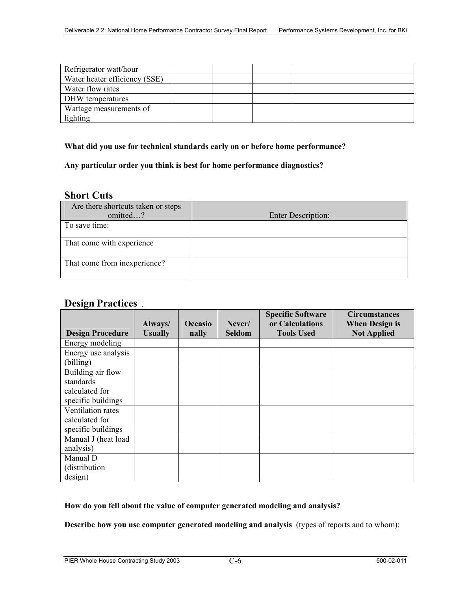| Refrigerator watt/hour        |  |  |
|-------------------------------|--|--|
| Water heater efficiency (SSE) |  |  |
| Water flow rates              |  |  |
| DHW temperatures              |  |  |
| Wattage measurements of       |  |  |
| lighting                      |  |  |

#### **What did you use for technical standards early on or before home performance?**

#### **Any particular order you think is best for home performance diagnostics?**

#### **Short Cuts**

| Are there shortcuts taken or steps |                           |
|------------------------------------|---------------------------|
| omitted?                           | <b>Enter Description:</b> |
| To save time:                      |                           |
| That come with experience          |                           |
| That come from inexperience?       |                           |

#### **Design Practices** .

|                         |                           |                         |                         | <b>Specific Software</b>             | <b>Circumstances</b>                        |
|-------------------------|---------------------------|-------------------------|-------------------------|--------------------------------------|---------------------------------------------|
| <b>Design Procedure</b> | Always/<br><b>Usually</b> | <b>Occasio</b><br>nally | Never/<br><b>Seldom</b> | or Calculations<br><b>Tools Used</b> | <b>When Design is</b><br><b>Not Applied</b> |
| Energy modeling         |                           |                         |                         |                                      |                                             |
| Energy use analysis     |                           |                         |                         |                                      |                                             |
| (billing)               |                           |                         |                         |                                      |                                             |
| Building air flow       |                           |                         |                         |                                      |                                             |
| standards               |                           |                         |                         |                                      |                                             |
| calculated for          |                           |                         |                         |                                      |                                             |
| specific buildings      |                           |                         |                         |                                      |                                             |
| Ventilation rates       |                           |                         |                         |                                      |                                             |
| calculated for          |                           |                         |                         |                                      |                                             |
| specific buildings      |                           |                         |                         |                                      |                                             |
| Manual J (heat load     |                           |                         |                         |                                      |                                             |
| analysis)               |                           |                         |                         |                                      |                                             |
| Manual D                |                           |                         |                         |                                      |                                             |
| (distribution)          |                           |                         |                         |                                      |                                             |
| design)                 |                           |                         |                         |                                      |                                             |

#### **How do you fell about the value of computer generated modeling and analysis?**

**Describe how you use computer generated modeling and analysis** (types of reports and to whom):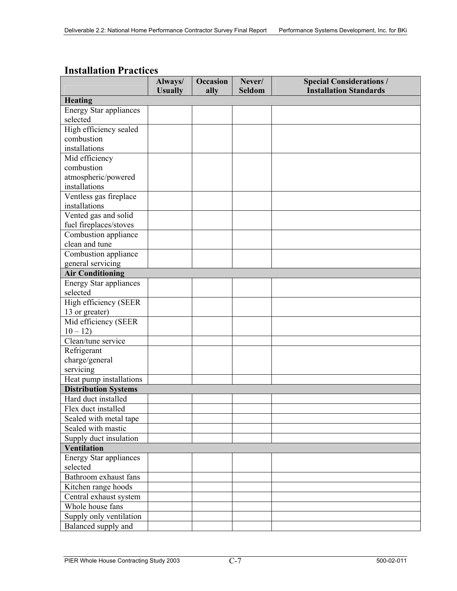|                                                    | Always/        | <b>Occasion</b> | Never/        | <b>Special Considerations /</b> |
|----------------------------------------------------|----------------|-----------------|---------------|---------------------------------|
|                                                    | <b>Usually</b> | ally            | <b>Seldom</b> | <b>Installation Standards</b>   |
| <b>Heating</b>                                     |                |                 |               |                                 |
| <b>Energy Star appliances</b>                      |                |                 |               |                                 |
| selected                                           |                |                 |               |                                 |
| High efficiency sealed                             |                |                 |               |                                 |
| combustion<br>installations                        |                |                 |               |                                 |
|                                                    |                |                 |               |                                 |
| Mid efficiency                                     |                |                 |               |                                 |
| combustion                                         |                |                 |               |                                 |
| atmospheric/powered<br>installations               |                |                 |               |                                 |
|                                                    |                |                 |               |                                 |
| Ventless gas fireplace                             |                |                 |               |                                 |
| installations                                      |                |                 |               |                                 |
| Vented gas and solid                               |                |                 |               |                                 |
| fuel fireplaces/stoves                             |                |                 |               |                                 |
| Combustion appliance                               |                |                 |               |                                 |
| clean and tune                                     |                |                 |               |                                 |
| Combustion appliance                               |                |                 |               |                                 |
| general servicing                                  |                |                 |               |                                 |
| <b>Air Conditioning</b>                            |                |                 |               |                                 |
| <b>Energy Star appliances</b>                      |                |                 |               |                                 |
| selected                                           |                |                 |               |                                 |
| High efficiency (SEER                              |                |                 |               |                                 |
| 13 or greater)                                     |                |                 |               |                                 |
| Mid efficiency (SEER                               |                |                 |               |                                 |
| $10 - 12$<br>Clean/tune service                    |                |                 |               |                                 |
|                                                    |                |                 |               |                                 |
| Refrigerant                                        |                |                 |               |                                 |
| charge/general<br>servicing                        |                |                 |               |                                 |
|                                                    |                |                 |               |                                 |
| Heat pump installations                            |                |                 |               |                                 |
| <b>Distribution Systems</b><br>Hard duct installed |                |                 |               |                                 |
|                                                    |                |                 |               |                                 |
| Flex duct installed                                |                |                 |               |                                 |
| Sealed with metal tape                             |                |                 |               |                                 |
| Sealed with mastic                                 |                |                 |               |                                 |
| Supply duct insulation                             |                |                 |               |                                 |
| <b>Ventilation</b>                                 |                |                 |               |                                 |
| <b>Energy Star appliances</b>                      |                |                 |               |                                 |
| selected                                           |                |                 |               |                                 |
| Bathroom exhaust fans                              |                |                 |               |                                 |
| Kitchen range hoods                                |                |                 |               |                                 |
| Central exhaust system                             |                |                 |               |                                 |
| Whole house fans                                   |                |                 |               |                                 |
| Supply only ventilation                            |                |                 |               |                                 |
| Balanced supply and                                |                |                 |               |                                 |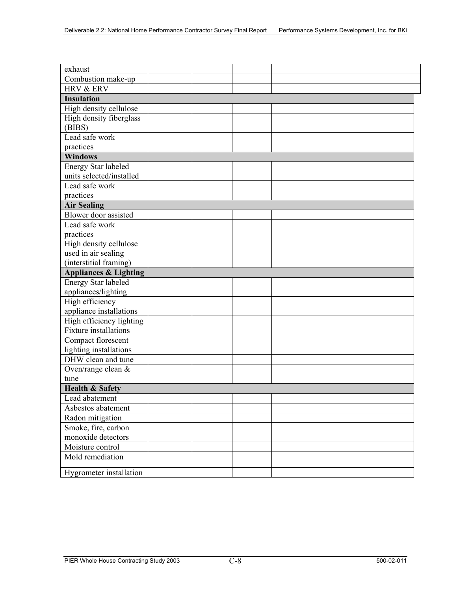| exhaust                          |  |  |
|----------------------------------|--|--|
| Combustion make-up               |  |  |
| HRV & ERV                        |  |  |
| <b>Insulation</b>                |  |  |
| High density cellulose           |  |  |
| High density fiberglass          |  |  |
| (BIBS)                           |  |  |
| Lead safe work                   |  |  |
| practices                        |  |  |
| <b>Windows</b>                   |  |  |
| Energy Star labeled              |  |  |
| units selected/installed         |  |  |
| Lead safe work                   |  |  |
| practices                        |  |  |
| <b>Air Sealing</b>               |  |  |
| Blower door assisted             |  |  |
| Lead safe work                   |  |  |
| practices                        |  |  |
| High density cellulose           |  |  |
| used in air sealing              |  |  |
| (interstitial framing)           |  |  |
| <b>Appliances &amp; Lighting</b> |  |  |
| Energy Star labeled              |  |  |
| appliances/lighting              |  |  |
| High efficiency                  |  |  |
| appliance installations          |  |  |
| High efficiency lighting         |  |  |
| <b>Fixture</b> installations     |  |  |
| Compact florescent               |  |  |
| lighting installations           |  |  |
| DHW clean and tune               |  |  |
| Oven/range clean &               |  |  |
| tune                             |  |  |
| <b>Health &amp; Safety</b>       |  |  |
| Lead abatement                   |  |  |
| Asbestos abatement               |  |  |
| Radon mitigation                 |  |  |
| Smoke, fire, carbon              |  |  |
| monoxide detectors               |  |  |
| Moisture control                 |  |  |
| Mold remediation                 |  |  |
| Hygrometer installation          |  |  |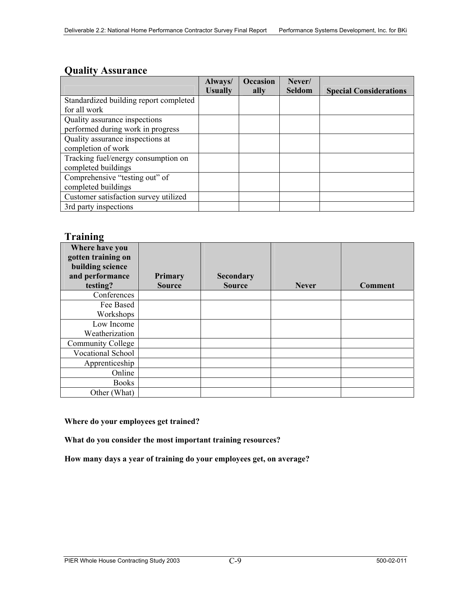#### **Quality Assurance**

|                                        | Always/        | <b>Occasion</b> | Never/        |                               |
|----------------------------------------|----------------|-----------------|---------------|-------------------------------|
|                                        | <b>Usually</b> | ally            | <b>Seldom</b> | <b>Special Considerations</b> |
| Standardized building report completed |                |                 |               |                               |
| for all work                           |                |                 |               |                               |
| Quality assurance inspections          |                |                 |               |                               |
| performed during work in progress      |                |                 |               |                               |
| Quality assurance inspections at       |                |                 |               |                               |
| completion of work                     |                |                 |               |                               |
| Tracking fuel/energy consumption on    |                |                 |               |                               |
| completed buildings                    |                |                 |               |                               |
| Comprehensive "testing out" of         |                |                 |               |                               |
| completed buildings                    |                |                 |               |                               |
| Customer satisfaction survey utilized  |                |                 |               |                               |
| 3rd party inspections                  |                |                 |               |                               |

#### **Training**

| $\cdots$<br>Where have you<br>gotten training on<br>building science |                                 |                                   |              |                |
|----------------------------------------------------------------------|---------------------------------|-----------------------------------|--------------|----------------|
| and performance<br>testing?                                          | <b>Primary</b><br><b>Source</b> | <b>Secondary</b><br><b>Source</b> | <b>Never</b> | <b>Comment</b> |
| Conferences                                                          |                                 |                                   |              |                |
| Fee Based<br>Workshops                                               |                                 |                                   |              |                |
| Low Income<br>Weatherization                                         |                                 |                                   |              |                |
| <b>Community College</b>                                             |                                 |                                   |              |                |
| Vocational School                                                    |                                 |                                   |              |                |
| Apprenticeship                                                       |                                 |                                   |              |                |
| Online                                                               |                                 |                                   |              |                |
| <b>Books</b>                                                         |                                 |                                   |              |                |
| Other (What)                                                         |                                 |                                   |              |                |

#### **Where do your employees get trained?**

**What do you consider the most important training resources?** 

**How many days a year of training do your employees get, on average?**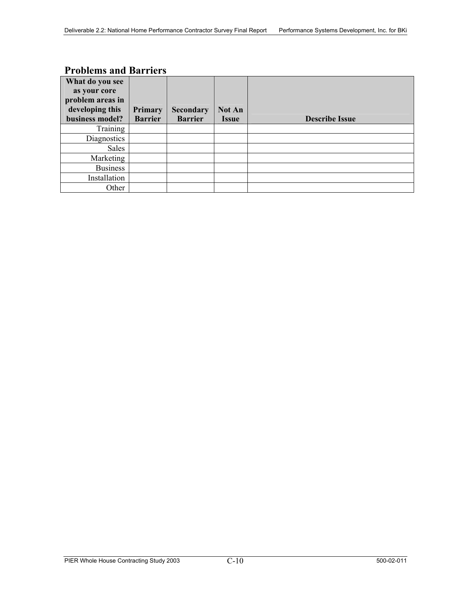#### **Problems and Barriers**

| What do you see<br>as your core<br>problem areas in<br>developing this | Primary        | <b>Secondary</b> | <b>Not An</b> |                       |
|------------------------------------------------------------------------|----------------|------------------|---------------|-----------------------|
| business model?                                                        | <b>Barrier</b> | <b>Barrier</b>   | <b>Issue</b>  | <b>Describe Issue</b> |
| Training                                                               |                |                  |               |                       |
| Diagnostics                                                            |                |                  |               |                       |
| Sales                                                                  |                |                  |               |                       |
| Marketing                                                              |                |                  |               |                       |
| <b>Business</b>                                                        |                |                  |               |                       |
| Installation                                                           |                |                  |               |                       |
| Other                                                                  |                |                  |               |                       |